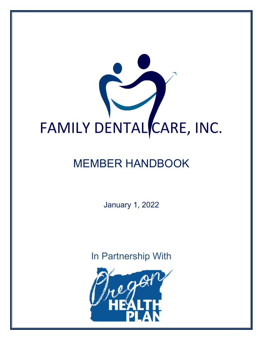

# MEMBER HANDBOOK

January 1, 2022

In Partnership With

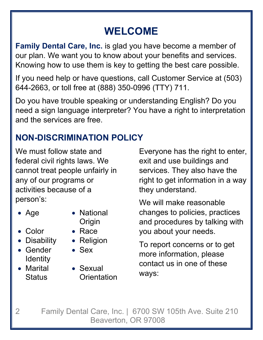# **WELCOME**

**Family Dental Care, Inc.** is glad you have become a member of our plan. We want you to know about your benefits and services. Knowing how to use them is key to getting the best care possible.

If you need help or have questions, call Customer Service at (503) 644-2663, or toll free at (888) 350-0996 (TTY) 711.

Do you have trouble speaking or understanding English? Do you need a sign language interpreter? You have a right to interpretation and the services are free.

# **NON-DISCRIMINATION POLICY**

We must follow state and federal civil rights laws. We cannot treat people unfairly in any of our programs or activities because of a person's:

- 
- Age National **Origin**
- Color Race
- Disability Religion
- **Gender Identity**
- Marital **Status**
- 
- 
- 
- Sex
- Sexual **Orientation**

Everyone has the right to enter, exit and use buildings and services. They also have the right to get information in a way they understand.

We will make reasonable changes to policies, practices and procedures by talking with you about your needs.

To report concerns or to get more information, please contact us in one of these ways: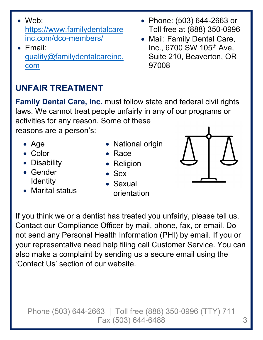- Web: https://www.familydentalcare inc.com/dco-members/
- Email: quality@familydentalcareinc. com

# **UNFAIR TREATMENT**

- **Family Dental Care, Inc.** must follow state and federal civil rights laws. We cannot treat people unfairly in any of our programs or activities for any reason. Some of these reasons are a person's:
	- Age
	- Color
	- Disability
	- Gender **Identity**
	- Marital status

'Contact Us' section of our website.

- National origin
- Race
- Religion
- $\bullet$  Sex
- Sexual orientation

If you think we or a dentist has treated you unfairly, please tell us.

Contact our Compliance Officer by mail, phone, fax, or email. Do

also make a complaint by sending us a secure email using the

not send any Personal Health Information (PHI) by email. If you or

your representative need help filing call Customer Service. You can

- Phone: (503) 644-2663 or Toll free at (888) 350-0996
- Mail: Family Dental Care, Inc., 6700 SW 105<sup>th</sup> Ave, Suite 210, Beaverton, OR 97008

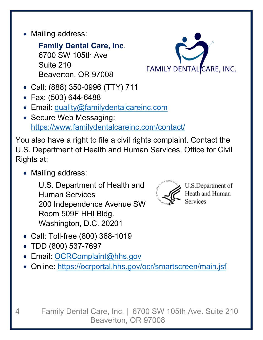• Mailing address:

**Family Dental Care, Inc**. 6700 SW 105th Ave Suite 210 Beaverton, OR 97008



- Call: (888) 350-0996 (TTY) 711
- Fax: (503) 644-6488
- Email: quality@familydentalcareinc.com
- Secure Web Messaging: https://www.familydentalcareinc.com/contact/

You also have a right to file a civil rights complaint. Contact the U.S. Department of Health and Human Services, Office for Civil Rights at:

• Mailing address:

U.S. Department of Health and Human Services 200 Independence Avenue SW Room 509F HHI Bldg. Washington, D.C. 20201



U.S.Department of Heath and Human Services

- Call: Toll-free (800) 368-1019
- TDD (800) 537-7697
- Email: OCRComplaint@hhs.gov
- Online: https://ocrportal.hhs.gov/ocr/smartscreen/main.jsf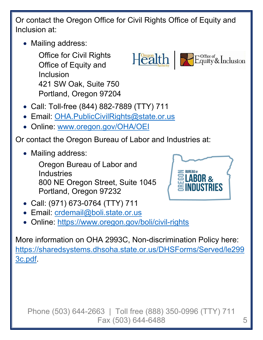Or contact the Oregon Office for Civil Rights Office of Equity and Inclusion at:

• Mailing address:

Office for Civil Rights Office of Equity and Inclusion 421 SW Oak, Suite 750 Portland, Oregon 97204

- Call: Toll-free (844) 882-7889 (TTY) 711
- Email: OHA.PublicCivilRights@state.or.us
- Online: www.oregon.gov/OHA/OEI

Or contact the Oregon Bureau of Labor and Industries at:

• Mailing address:

Oregon Bureau of Labor and **Industries** 800 NE Oregon Street, Suite 1045 Portland, Oregon 97232

- Call: (971) 673-0764 (TTY) 711
- Email: crdemail@boli.state.or.us
- Online: https://www.oregon.gov/boli/civil-rights

More information on OHA 2993C, Non-discrimination Policy here: https://sharedsystems.dhsoha.state.or.us/DHSForms/Served/le299 3c.pdf.





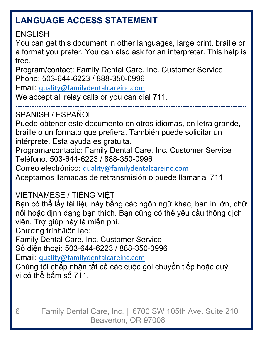# **LANGUAGE ACCESS STATEMENT**

ENGLISH

You can get this document in other languages, large print, braille or a format you prefer. You can also ask for an interpreter. This help is free.

Program/contact: Family Dental Care, Inc. Customer Service Phone: 503-644-6223 / 888-350-0996

Email: quality@familydentalcareinc.com

We accept all relay calls or you can dial 711.

SPANISH / ESPAÑOL

Puede obtener este documento en otros idiomas, en letra grande, braille o un formato que prefiera. También puede solicitar un intérprete. Esta ayuda es gratuita.

Programa/contacto: Family Dental Care, Inc. Customer Service Teléfono: 503-644-6223 / 888-350-0996

Correo electrónico: quality@familydentalcareinc.com

Aceptamos llamadas de retransmisión o puede llamar al 711.

VIETNAMESE / TIẾNG VIỆT

Bạn có thể lấy tài liệu này bằng các ngôn ngữ khác, bản in lớn, chữ nổi hoặc định dạng bạn thích. Bạn cũng có thể yêu cầu thông dịch viên. Trợ giúp này là miễn phí.

Chương trình/liên lạc:

Family Dental Care, Inc. Customer Service

Số điện thoại: 503-644-6223 / 888-350-0996

Email: quality@familydentalcareinc.com

Chúng tôi chấp nhận tất cả các cuộc gọi chuyển tiếp hoặc quý vị có thể bấm số 711.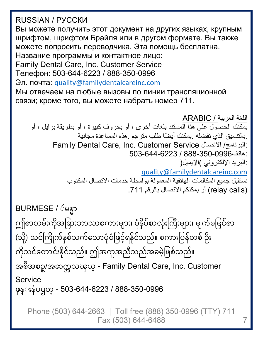Phone (503) 644-2663 | Toll free (888) 350-0996 (TTY) 711 Fax (503) 644-6488 7 RUSSIAN / РУССКИ Вы можете получить этот документ на других языках, крупным шрифтом, шрифтом Брайля или в другом формате. Вы также можете попросить переводчика. Эта помощь бесплатна. Название программы и контактное лицо: Family Dental Care, Inc. Customer Service Телефон: 503-644-6223 / 888-350-0996 Эл. почта: quality@familydentalcareinc.com Мы отвечаем на любые вызовы по линии трансляционной связи; кроме того, вы можете набрать номер 711. اللغة العربية / ARABIC يمكنك الحصول على هذا المستند بلغات أخرى ، أو بحروف كبيرة ، أو بطريقة برايل ، أو .بالتنسيق الذي تفضله .يمكنك ً أيضا طلب مترجم .هذه المساعدة مجانية Family Dental Care, Inc. Customer Service الاتصال /البرنامج: :هاتف888-350-0996 / 503-644-6223 البريد الإلكتروني )الإيميل : ( quality@familydentalcareinc.com نستقبل جميع المكالمات الهاتفية المعمولة بواسطة خدمات الاتصال المكتوب (calls relay (أو يمكنكم الاتصال بالرقم .711 BURMESE / ဴမန္မာ ဴ ȫ ဤစာတမးကုအခြားဘာသာစကားများ၊ ပုနှပစာလုးကြးများ၊ မျကမမြငစာ  $\overline{a}$ ် (သု့) သငကြုကနှစသကသောပုစဖြင့ရနုငသည။ စကားပြနတစ ဉး  $\overline{\phantom{a}}$ ် ကုံသင်တောင်းနိုင်သည်။ ဤအကူအညီသည်အခမ့ဖြစ်သည်။  $\ddot{\phantom{a}}$  $\frac{1}{2}$ ် ်  $\overline{a}$ ီ အစီအစဥ္/အဆက္အသၾယ္ - Family Dental Care, Inc. Customer **Service** ဖုန္းနံပၝတ္ - 503-644-6223 / 888-350-0996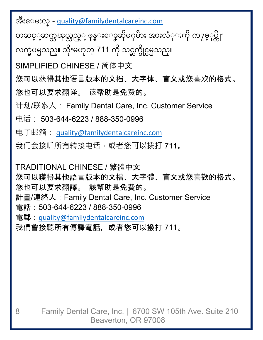အိႆးေမးလ္ - <u>quality@familydentalcareinc.com</u> ီ

တဆင့္ဆက္သၾယ္သည့္ ဖုန္းေခၞဆုမႁမား အားလ္ုးကု က႗ႎ္ုပ္တုႚ ္ ǻ ǽ လက္ခံပၝသည္။ သိုႚမဟုတ္ 711 ကို သင္ဆက္ဓိုင္ပၝသည္။ ǽ

SIMPLIFIED CHINESE / 简体中文

您可以获得其他语言版本的文档、大字体、盲文或您喜欢的格式。

您也可以要求翻译。 该帮助是免费的。

计划/联系人: Family Dental Care, Inc. Customer Service

电话: 503-644-6223 / 888-350-0996

电子邮箱: quality@familydentalcareinc.com

我们会接听所有转接电话,或者您可以拨打 711。

TRADITIONAL CHINESE / 繁體中文 您可以獲得其他語言版本的文檔、大字體、盲文或您喜歡的格式。 您也可以要求翻譯。 該幫助是免費的。 計畫/連絡人:Family Dental Care, Inc. Customer Service 電話: 503-644-6223 / 888-350-0996 電郵:quality@familydentalcareinc.com 我們會接聽所有傳譯電話,或者您可以撥打 711。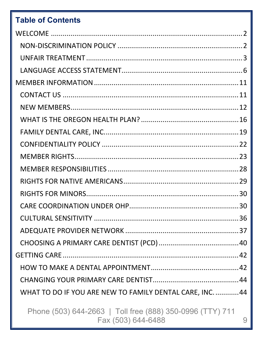### **Table of Contents**

| <b>CULTURAL SENSITIVITY </b>                              | 36 |
|-----------------------------------------------------------|----|
|                                                           |    |
|                                                           |    |
|                                                           |    |
|                                                           |    |
|                                                           |    |
| WHAT TO DO IF YOU ARE NEW TO FAMILY DENTAL CARE, INC.  44 |    |
|                                                           |    |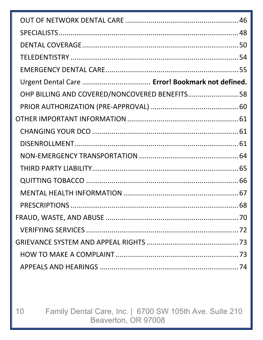| Urgent Dental Care  Error! Bookmark not defined. |  |
|--------------------------------------------------|--|
| OHP BILLING AND COVERED/NONCOVERED BENEFITS58    |  |
|                                                  |  |
|                                                  |  |
|                                                  |  |
|                                                  |  |
|                                                  |  |
|                                                  |  |
|                                                  |  |
|                                                  |  |
|                                                  |  |
|                                                  |  |
|                                                  |  |
|                                                  |  |
|                                                  |  |
|                                                  |  |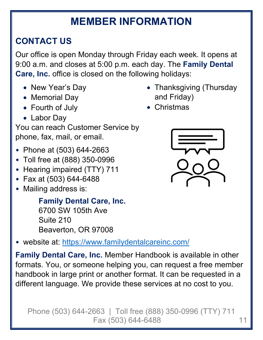# **MEMBER INFORMATION**

# **CONTACT US**

Our office is open Monday through Friday each week. It opens at 9:00 a.m. and closes at 5:00 p.m. each day. The **Family Dental Care, Inc.** office is closed on the following holidays:

- New Year's Day
- Memorial Day
- Fourth of July
- Labor Day

You can reach Customer Service by phone, fax, mail, or email.

- Phone at (503) 644-2663
- Toll free at (888) 350-0996
- Hearing impaired (TTY) 711
- Fax at (503) 644-6488
- Mailing address is:

**Family Dental Care, Inc.**  6700 SW 105th Ave Suite 210 Beaverton, OR 97008

• website at: https://www.familydentalcareinc.com/

**Family Dental Care, Inc.** Member Handbook is available in other formats. You, or someone helping you, can request a free member handbook in large print or another format. It can be requested in a different language. We provide these services at no cost to you.

- Thanksgiving (Thursday and Friday)
- Christmas

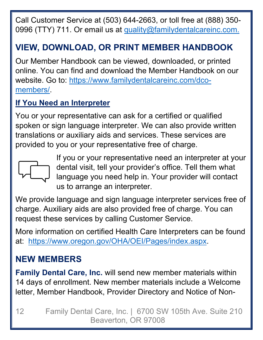Call Customer Service at (503) 644-2663, or toll free at (888) 350- 0996 (TTY) 711. Or email us at quality@familydentalcareinc.com.

# **VIEW, DOWNLOAD, OR PRINT MEMBER HANDBOOK**

Our Member Handbook can be viewed, downloaded, or printed online. You can find and download the Member Handbook on our website. Go to: https://www.familydentalcareinc.com/dcomembers/.

#### **If You Need an Interpreter**

You or your representative can ask for a certified or qualified spoken or sign language interpreter. We can also provide written translations or auxiliary aids and services. These services are provided to you or your representative free of charge.



If you or your representative need an interpreter at your dental visit, tell your provider's office. Tell them what language you need help in. Your provider will contact us to arrange an interpreter.

We provide language and sign language interpreter services free of charge. Auxiliary aids are also provided free of charge. You can request these services by calling Customer Service.

More information on certified Health Care Interpreters can be found at: https://www.oregon.gov/OHA/OEI/Pages/index.aspx.

## **NEW MEMBERS**

**Family Dental Care, Inc.** will send new member materials within 14 days of enrollment. New member materials include a Welcome letter, Member Handbook, Provider Directory and Notice of Non-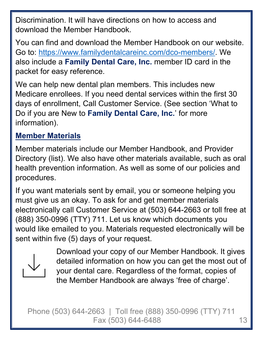Discrimination. It will have directions on how to access and download the Member Handbook.

You can find and download the Member Handbook on our website. Go to: https://www.familydentalcareinc.com/dco-members/. We also include a **Family Dental Care, Inc.** member ID card in the packet for easy reference.

We can help new dental plan members. This includes new Medicare enrollees. If you need dental services within the first 30 days of enrollment, Call Customer Service. (See section 'What to Do if you are New to **Family Dental Care, Inc.**' for more information).

#### **Member Materials**

Member materials include our Member Handbook, and Provider Directory (list). We also have other materials available, such as oral health prevention information. As well as some of our policies and procedures.

If you want materials sent by email, you or someone helping you must give us an okay. To ask for and get member materials electronically call Customer Service at (503) 644-2663 or toll free at (888) 350-0996 (TTY) 711. Let us know which documents you would like emailed to you. Materials requested electronically will be sent within five (5) days of your request.



Download your copy of our Member Handbook. It gives detailed information on how you can get the most out of your dental care. Regardless of the format, copies of the Member Handbook are always 'free of charge'.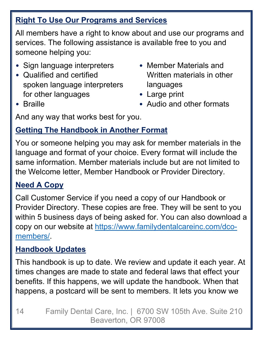### **Right To Use Our Programs and Services**

All members have a right to know about and use our programs and services. The following assistance is available free to you and someone helping you:

- Sign language interpreters
- Qualified and certified spoken language interpreters for other languages
- Member Materials and Written materials in other languages
- Large print
- Audio and other formats

• Braille

And any way that works best for you.

### **Getting The Handbook in Another Format**

You or someone helping you may ask for member materials in the language and format of your choice. Every format will include the same information. Member materials include but are not limited to the Welcome letter, Member Handbook or Provider Directory.

#### **Need A Copy**

Call Customer Service if you need a copy of our Handbook or Provider Directory. These copies are free. They will be sent to you within 5 business days of being asked for. You can also download a copy on our website at https://www.familydentalcareinc.com/dcomembers/.

#### **Handbook Updates**

This handbook is up to date. We review and update it each year. At times changes are made to state and federal laws that effect your benefits. If this happens, we will update the handbook. When that happens, a postcard will be sent to members. It lets you know we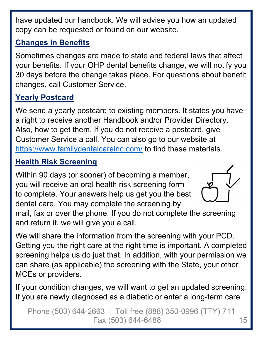have updated our handbook. We will advise you how an updated copy can be requested or found on our website.

### **Changes In Benefits**

Sometimes changes are made to state and federal laws that affect your benefits. If your OHP dental benefits change, we will notify you 30 days before the change takes place. For questions about benefit changes, call Customer Service.

### **Yearly Postcard**

We send a yearly postcard to existing members. It states you have a right to receive another Handbook and/or Provider Directory. Also, how to get them. If you do not receive a postcard, give Customer Service a call. You can also go to our website at https://www.familydentalcareinc.com/ to find these materials.

#### **Health Risk Screening**

Within 90 days (or sooner) of becoming a member, you will receive an oral health risk screening form to complete. Your answers help us get you the best dental care. You may complete the screening by



mail, fax or over the phone. If you do not complete the screening and return it, we will give you a call.

We will share the information from the screening with your PCD. Getting you the right care at the right time is important. A completed screening helps us do just that. In addition, with your permission we can share (as applicable) the screening with the State, your other MCEs or providers.

If your condition changes, we will want to get an updated screening. If you are newly diagnosed as a diabetic or enter a long-term care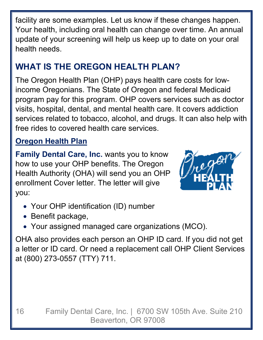facility are some examples. Let us know if these changes happen. Your health, including oral health can change over time. An annual update of your screening will help us keep up to date on your oral health needs.

# **WHAT IS THE OREGON HEALTH PLAN?**

The Oregon Health Plan (OHP) pays health care costs for lowincome Oregonians. The State of Oregon and federal Medicaid program pay for this program. OHP covers services such as doctor visits, hospital, dental, and mental health care. It covers addiction services related to tobacco, alcohol, and drugs. It can also help with free rides to covered health care services.

### **Oregon Health Plan**

**Family Dental Care, Inc.** wants you to know how to use your OHP benefits. The Oregon Health Authority (OHA) will send you an OHP enrollment Cover letter. The letter will give you:



- Your OHP identification (ID) number
- Benefit package,
- Your assigned managed care organizations (MCO).

OHA also provides each person an OHP ID card. If you did not get a letter or ID card. Or need a replacement call OHP Client Services at (800) 273-0557 (TTY) 711.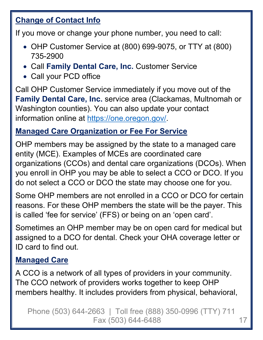#### **Change of Contact Info**

If you move or change your phone number, you need to call:

- OHP Customer Service at (800) 699-9075, or TTY at (800) 735-2900
- Call **Family Dental Care, Inc.** Customer Service
- Call your PCD office

Call OHP Customer Service immediately if you move out of the **Family Dental Care, Inc.** service area (Clackamas, Multnomah or Washington counties). You can also update your contact information online at https://one.oregon.gov/.

#### **Managed Care Organization or Fee For Service**

OHP members may be assigned by the state to a managed care entity (MCE). Examples of MCEs are coordinated care organizations (CCOs) and dental care organizations (DCOs). When you enroll in OHP you may be able to select a CCO or DCO. If you do not select a CCO or DCO the state may choose one for you.

Some OHP members are not enrolled in a CCO or DCO for certain reasons. For these OHP members the state will be the payer. This is called 'fee for service' (FFS) or being on an 'open card'.

Sometimes an OHP member may be on open card for medical but assigned to a DCO for dental. Check your OHA coverage letter or ID card to find out.

#### **Managed Care**

A CCO is a network of all types of providers in your community. The CCO network of providers works together to keep OHP members healthy. It includes providers from physical, behavioral,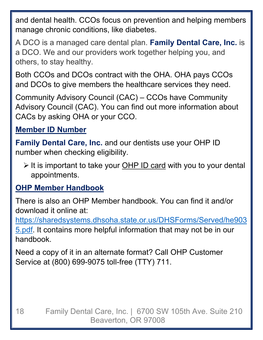and dental health. CCOs focus on prevention and helping members manage chronic conditions, like diabetes.

A DCO is a managed care dental plan. **Family Dental Care, Inc.** is a DCO. We and our providers work together helping you, and others, to stay healthy.

Both CCOs and DCOs contract with the OHA. OHA pays CCOs and DCOs to give members the healthcare services they need.

Community Advisory Council (CAC) – CCOs have Community Advisory Council (CAC). You can find out more information about CACs by asking OHA or your CCO.

### **Member ID Number**

**Family Dental Care, Inc.** and our dentists use your OHP ID number when checking eligibility.

 $\triangleright$  It is important to take your OHP ID card with you to your dental appointments.

#### **OHP Member Handbook**

There is also an OHP Member handbook. You can find it and/or download it online at:

https://sharedsystems.dhsoha.state.or.us/DHSForms/Served/he903 5.pdf. It contains more helpful information that may not be in our handbook.

Need a copy of it in an alternate format? Call OHP Customer Service at (800) 699-9075 toll-free (TTY) 711.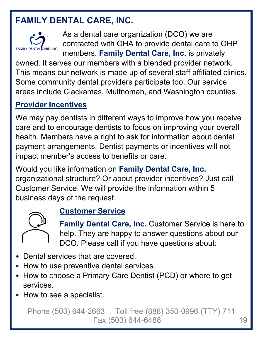# **FAMILY DENTAL CARE, INC.**



As a dental care organization (DCO) we are contracted with OHA to provide dental care to OHP members. **Family Dental Care, Inc.** is privately

owned. It serves our members with a blended provider network. This means our network is made up of several staff affiliated clinics. Some community dental providers participate too. Our service areas include Clackamas, Multnomah, and Washington counties.

#### **Provider Incentives**

We may pay dentists in different ways to improve how you receive care and to encourage dentists to focus on improving your overall health. Members have a right to ask for information about dental payment arrangements. Dentist payments or incentives will not impact member's access to benefits or care.

Would you like information on **Family Dental Care, Inc.**  organizational structure? Or about provider incentives? Just call Customer Service. We will provide the information within 5 business days of the request.



#### **Customer Service**

**Family Dental Care, Inc.** Customer Service is here to help. They are happy to answer questions about our DCO. Please call if you have questions about:

- Dental services that are covered.
- How to use preventive dental services.
- How to choose a Primary Care Dentist (PCD) or where to get services.
- How to see a specialist.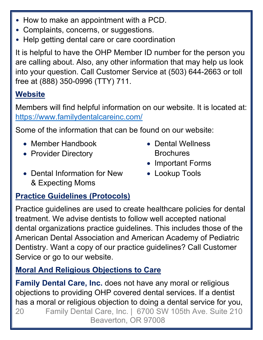- How to make an appointment with a PCD.
- Complaints, concerns, or suggestions.
- Help getting dental care or care coordination

It is helpful to have the OHP Member ID number for the person you are calling about. Also, any other information that may help us look into your question. Call Customer Service at (503) 644-2663 or toll free at (888) 350-0996 (TTY) 711.

### **Website**

Members will find helpful information on our website. It is located at: https://www.familydentalcareinc.com/

Some of the information that can be found on our website:

- Member Handbook
- Provider Directory
- Dental Information for New & Expecting Moms
- Dental Wellness **Brochures**
- Important Forms
- Lookup Tools

#### **Practice Guidelines (Protocols)**

Practice guidelines are used to create healthcare policies for dental treatment. We advise dentists to follow well accepted national dental organizations practice guidelines. This includes those of the American Dental Association and American Academy of Pediatric Dentistry. Want a copy of our practice guidelines? Call Customer Service or go to our website.

### **Moral And Religious Objections to Care**

20 Family Dental Care, Inc. | 6700 SW 105th Ave. Suite 210 Beaverton, OR 97008 **Family Dental Care, Inc.** does not have any moral or religious objections to providing OHP covered dental services. If a dentist has a moral or religious objection to doing a dental service for you,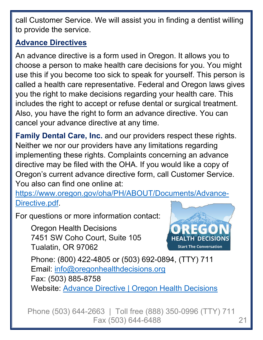call Customer Service. We will assist you in finding a dentist willing to provide the service.

### **Advance Directives**

An advance directive is a form used in Oregon. It allows you to choose a person to make health care decisions for you. You might use this if you become too sick to speak for yourself. This person is called a health care representative. Federal and Oregon laws gives you the right to make decisions regarding your health care. This includes the right to accept or refuse dental or surgical treatment. Also, you have the right to form an advance directive. You can cancel your advance directive at any time.

**Family Dental Care, Inc.** and our providers respect these rights. Neither we nor our providers have any limitations regarding implementing these rights. Complaints concerning an advance directive may be filed with the OHA. If you would like a copy of Oregon's current advance directive form, call Customer Service. You also can find one online at:

https://www.oregon.gov/oha/PH/ABOUT/Documents/Advance-Directive.pdf.

For questions or more information contact:

Oregon Health Decisions 7451 SW Coho Court, Suite 105 Tualatin, OR 97062



Phone: (800) 422-4805 or (503) 692-0894, (TTY) 711 Email: info@oregonhealthdecisions.org Fax: (503) 885-8758 Website: Advance Directive | Oregon Health Decisions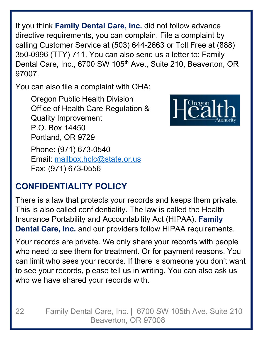If you think **Family Dental Care, Inc.** did not follow advance directive requirements, you can complain. File a complaint by calling Customer Service at (503) 644-2663 or Toll Free at (888) 350-0996 (TTY) 711. You can also send us a letter to: Family Dental Care, Inc., 6700 SW 105<sup>th</sup> Ave., Suite 210, Beaverton, OR 97007.

You can also file a complaint with OHA:

Oregon Public Health Division Office of Health Care Regulation & Quality Improvement P.O. Box 14450 Portland, OR 9729 Phone: (971) 673-0540 Email: mailbox.hclc@state.or.us Fax: (971) 673-0556



## **CONFIDENTIALITY POLICY**

There is a law that protects your records and keeps them private. This is also called confidentiality. The law is called the Health Insurance Portability and Accountability Act (HIPAA). **Family Dental Care, Inc.** and our providers follow HIPAA requirements.

Your records are private. We only share your records with people who need to see them for treatment. Or for payment reasons. You can limit who sees your records. If there is someone you don't want to see your records, please tell us in writing. You can also ask us who we have shared your records with.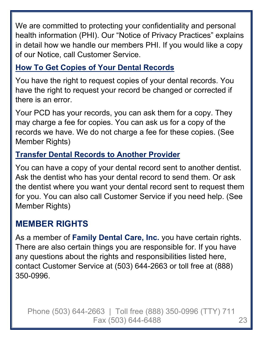We are committed to protecting your confidentiality and personal health information (PHI). Our "Notice of Privacy Practices" explains in detail how we handle our members PHI. If you would like a copy of our Notice, call Customer Service.

#### **How To Get Copies of Your Dental Records**

You have the right to request copies of your dental records. You have the right to request your record be changed or corrected if there is an error.

Your PCD has your records, you can ask them for a copy. They may charge a fee for copies. You can ask us for a copy of the records we have. We do not charge a fee for these copies. (See Member Rights)

#### **Transfer Dental Records to Another Provider**

You can have a copy of your dental record sent to another dentist. Ask the dentist who has your dental record to send them. Or ask the dentist where you want your dental record sent to request them for you. You can also call Customer Service if you need help. (See Member Rights)

## **MEMBER RIGHTS**

As a member of **Family Dental Care, Inc.** you have certain rights. There are also certain things you are responsible for. If you have any questions about the rights and responsibilities listed here, contact Customer Service at (503) 644-2663 or toll free at (888) 350-0996.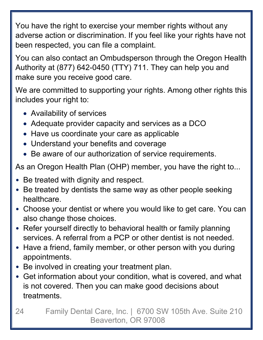You have the right to exercise your member rights without any adverse action or discrimination. If you feel like your rights have not been respected, you can file a complaint.

You can also contact an Ombudsperson through the Oregon Health Authority at (877) 642-0450 (TTY) 711. They can help you and make sure you receive good care.

We are committed to supporting your rights. Among other rights this includes your right to:

- Availability of services
- Adequate provider capacity and services as a DCO
- Have us coordinate your care as applicable
- Understand your benefits and coverage
- Be aware of our authorization of service requirements.

As an Oregon Health Plan (OHP) member, you have the right to...

- Be treated with dignity and respect.
- Be treated by dentists the same way as other people seeking healthcare.
- Choose your dentist or where you would like to get care. You can also change those choices.
- Refer yourself directly to behavioral health or family planning services. A referral from a PCP or other dentist is not needed.
- Have a friend, family member, or other person with you during appointments.
- Be involved in creating your treatment plan.
- Get information about your condition, what is covered, and what is not covered. Then you can make good decisions about treatments.
- 24 Family Dental Care, Inc. | 6700 SW 105th Ave. Suite 210 Beaverton, OR 97008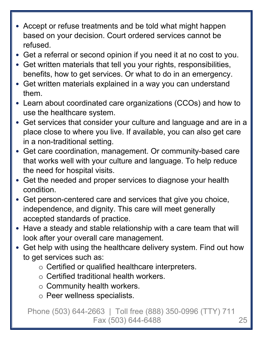- Accept or refuse treatments and be told what might happen based on your decision. Court ordered services cannot be refused.
- Get a referral or second opinion if you need it at no cost to you.
- Get written materials that tell you your rights, responsibilities, benefits, how to get services. Or what to do in an emergency.
- Get written materials explained in a way you can understand them.
- Learn about coordinated care organizations (CCOs) and how to use the healthcare system.
- Get services that consider your culture and language and are in a place close to where you live. If available, you can also get care in a non-traditional setting.
- Get care coordination, management. Or community-based care that works well with your culture and language. To help reduce the need for hospital visits.
- Get the needed and proper services to diagnose your health condition.
- Get person-centered care and services that give you choice, independence, and dignity. This care will meet generally accepted standards of practice.
- Have a steady and stable relationship with a care team that will look after your overall care management.
- Get help with using the healthcare delivery system. Find out how to get services such as:
	- o Certified or qualified healthcare interpreters.
	- o Certified traditional health workers.
	- o Community health workers.
	- o Peer wellness specialists.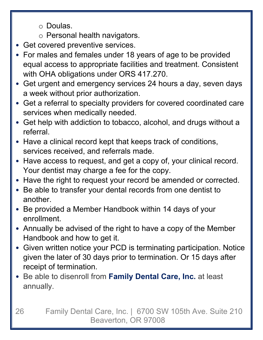o Doulas.

- o Personal health navigators.
- Get covered preventive services.
- For males and females under 18 years of age to be provided equal access to appropriate facilities and treatment. Consistent with OHA obligations under ORS 417.270.
- Get urgent and emergency services 24 hours a day, seven days a week without prior authorization.
- Get a referral to specialty providers for covered coordinated care services when medically needed.
- Get help with addiction to tobacco, alcohol, and drugs without a referral.
- Have a clinical record kept that keeps track of conditions, services received, and referrals made.
- Have access to request, and get a copy of, your clinical record. Your dentist may charge a fee for the copy.
- Have the right to request your record be amended or corrected.
- Be able to transfer your dental records from one dentist to another.
- Be provided a Member Handbook within 14 days of your enrollment.
- Annually be advised of the right to have a copy of the Member Handbook and how to get it.
- Given written notice your PCD is terminating participation. Notice given the later of 30 days prior to termination. Or 15 days after receipt of termination.
- Be able to disenroll from **Family Dental Care, Inc.** at least annually.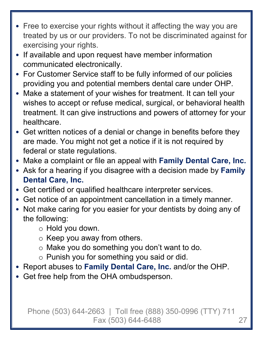- Free to exercise your rights without it affecting the way you are treated by us or our providers. To not be discriminated against for exercising your rights.
- If available and upon request have member information communicated electronically.
- For Customer Service staff to be fully informed of our policies providing you and potential members dental care under OHP.
- Make a statement of your wishes for treatment. It can tell your wishes to accept or refuse medical, surgical, or behavioral health treatment. It can give instructions and powers of attorney for your healthcare.
- Get written notices of a denial or change in benefits before they are made. You might not get a notice if it is not required by federal or state regulations.
- Make a complaint or file an appeal with **Family Dental Care, Inc.**
- Ask for a hearing if you disagree with a decision made by **Family Dental Care, Inc.**
- Get certified or qualified healthcare interpreter services.
- Get notice of an appointment cancellation in a timely manner.
- Not make caring for you easier for your dentists by doing any of the following:
	- o Hold you down.
	- $\circ$  Keep you away from others.
	- o Make you do something you don't want to do.
	- o Punish you for something you said or did.
- Report abuses to **Family Dental Care, Inc.** and/or the OHP.
- Get free help from the OHA ombudsperson.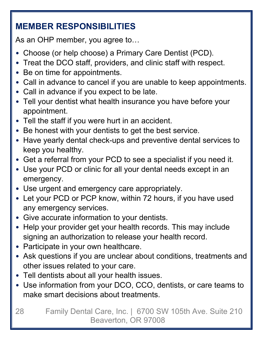# **MEMBER RESPONSIBILITIES**

As an OHP member, you agree to…

- Choose (or help choose) a Primary Care Dentist (PCD).
- Treat the DCO staff, providers, and clinic staff with respect.
- Be on time for appointments.
- Call in advance to cancel if you are unable to keep appointments.
- Call in advance if you expect to be late.
- Tell your dentist what health insurance you have before your appointment.
- Tell the staff if you were hurt in an accident.
- Be honest with your dentists to get the best service.
- Have yearly dental check-ups and preventive dental services to keep you healthy.
- Get a referral from your PCD to see a specialist if you need it.
- Use your PCD or clinic for all your dental needs except in an emergency.
- Use urgent and emergency care appropriately.
- Let your PCD or PCP know, within 72 hours, if you have used any emergency services.
- Give accurate information to your dentists.
- Help your provider get your health records. This may include signing an authorization to release your health record.
- Participate in your own healthcare.
- Ask questions if you are unclear about conditions, treatments and other issues related to your care.
- Tell dentists about all your health issues.
- Use information from your DCO, CCO, dentists, or care teams to make smart decisions about treatments.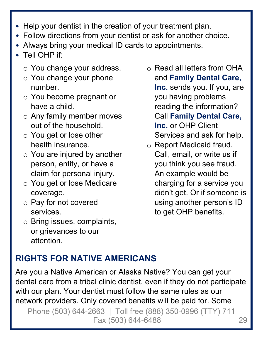- Help your dentist in the creation of your treatment plan.
- Follow directions from your dentist or ask for another choice.
- Always bring your medical ID cards to appointments.
- Tell OHP if:
	- o You change your address.
	- o You change your phone number.
	- o You become pregnant or have a child.
	- o Any family member moves out of the household.
	- o You get or lose other health insurance.
	- o You are injured by another person, entity, or have a claim for personal injury.
	- o You get or lose Medicare coverage.
	- o Pay for not covered services.
	- o Bring issues, complaints, or grievances to our attention.

o Read all letters from OHA and **Family Dental Care, Inc.** sends you. If you, are

you having problems reading the information? Call **Family Dental Care, Inc.** or OHP Client Services and ask for help.

o Report Medicaid fraud. Call, email, or write us if you think you see fraud. An example would be charging for a service you didn't get. Or if someone is using another person's ID to get OHP benefits.

# **RIGHTS FOR NATIVE AMERICANS**

Are you a Native American or Alaska Native? You can get your dental care from a tribal clinic dentist, even if they do not participate with our plan. Your dentist must follow the same rules as our network providers. Only covered benefits will be paid for. Some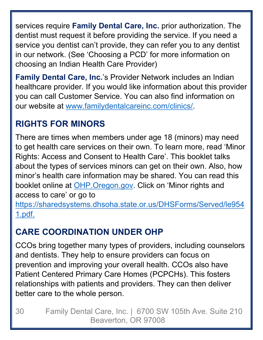services require **Family Dental Care, Inc.** prior authorization. The dentist must request it before providing the service. If you need a service you dentist can't provide, they can refer you to any dentist in our network. (See 'Choosing a PCD' for more information on choosing an Indian Health Care Provider)

**Family Dental Care, Inc.**'s Provider Network includes an Indian healthcare provider. If you would like information about this provider you can call Customer Service. You can also find information on our website at www.familydentalcareinc.com/clinics/.

# **RIGHTS FOR MINORS**

There are times when members under age 18 (minors) may need to get health care services on their own. To learn more, read 'Minor Rights: Access and Consent to Health Care'. This booklet talks about the types of services minors can get on their own. Also, how minor's health care information may be shared. You can read this booklet online at OHP.Oregon.gov. Click on 'Minor rights and access to care' or go to https://sharedsystems.dhsoha.state.or.us/DHSForms/Served/le954

1.pdf.

# **CARE COORDINATION UNDER OHP**

CCOs bring together many types of providers, including counselors and dentists. They help to ensure providers can focus on prevention and improving your overall health. CCOs also have Patient Centered Primary Care Homes (PCPCHs). This fosters relationships with patients and providers. They can then deliver better care to the whole person.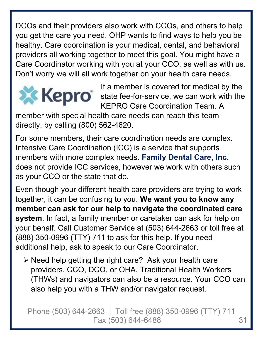DCOs and their providers also work with CCOs, and others to help you get the care you need. OHP wants to find ways to help you be healthy. Care coordination is your medical, dental, and behavioral providers all working together to meet this goal. You might have a Care Coordinator working with you at your CCO, as well as with us. Don't worry we will all work together on your health care needs.



If a member is covered for medical by the state fee-for-service, we can work with the KEPRO Care Coordination Team. A

member with special health care needs can reach this team directly, by calling (800) 562-4620.

For some members, their care coordination needs are complex. Intensive Care Coordination (ICC) is a service that supports members with more complex needs. **Family Dental Care, Inc.** does not provide ICC services, however we work with others such as your CCO or the state that do.

Even though your different health care providers are trying to work together, it can be confusing to you. **We want you to know any member can ask for our help to navigate the coordinated care system**. In fact, a family member or caretaker can ask for help on your behalf. Call Customer Service at (503) 644-2663 or toll free at (888) 350-0996 (TTY) 711 to ask for this help. If you need additional help, ask to speak to our Care Coordinator.

 $\triangleright$  Need help getting the right care? Ask your health care providers, CCO, DCO, or OHA. Traditional Health Workers (THWs) and navigators can also be a resource. Your CCO can also help you with a THW and/or navigator request.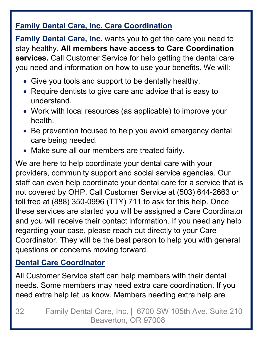### **Family Dental Care, Inc. Care Coordination**

**Family Dental Care, Inc.** wants you to get the care you need to stay healthy. **All members have access to Care Coordination services.** Call Customer Service for help getting the dental care you need and information on how to use your benefits. We will:

- Give you tools and support to be dentally healthy.
- Require dentists to give care and advice that is easy to understand.
- Work with local resources (as applicable) to improve your health.
- Be prevention focused to help you avoid emergency dental care being needed.
- Make sure all our members are treated fairly.

We are here to help coordinate your dental care with your providers, community support and social service agencies. Our staff can even help coordinate your dental care for a service that is not covered by OHP. Call Customer Service at (503) 644-2663 or toll free at (888) 350-0996 (TTY) 711 to ask for this help. Once these services are started you will be assigned a Care Coordinator and you will receive their contact information. If you need any help regarding your case, please reach out directly to your Care Coordinator. They will be the best person to help you with general questions or concerns moving forward.

### **Dental Care Coordinator**

All Customer Service staff can help members with their dental needs. Some members may need extra care coordination. If you need extra help let us know. Members needing extra help are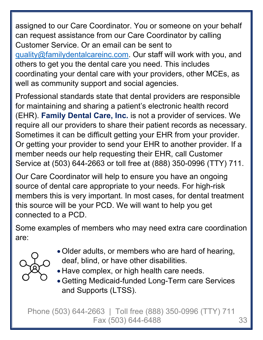assigned to our Care Coordinator. You or someone on your behalf can request assistance from our Care Coordinator by calling Customer Service. Or an email can be sent to quality@familydentalcareinc.com. Our staff will work with you, and others to get you the dental care you need. This includes coordinating your dental care with your providers, other MCEs, as well as community support and social agencies.

Professional standards state that dental providers are responsible for maintaining and sharing a patient's electronic health record (EHR). **Family Dental Care, Inc.** is not a provider of services. We require all our providers to share their patient records as necessary. Sometimes it can be difficult getting your EHR from your provider. Or getting your provider to send your EHR to another provider. If a member needs our help requesting their EHR, call Customer Service at (503) 644-2663 or toll free at (888) 350-0996 (TTY) 711.

Our Care Coordinator will help to ensure you have an ongoing source of dental care appropriate to your needs. For high-risk members this is very important. In most cases, for dental treatment this source will be your PCD. We will want to help you get connected to a PCD.

Some examples of members who may need extra care coordination are:





- Have complex, or high health care needs.
- Getting Medicaid-funded Long-Term care Services and Supports (LTSS).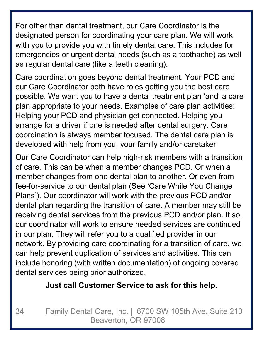For other than dental treatment, our Care Coordinator is the designated person for coordinating your care plan. We will work with you to provide you with timely dental care. This includes for emergencies or urgent dental needs (such as a toothache) as well as regular dental care (like a teeth cleaning).

Care coordination goes beyond dental treatment. Your PCD and our Care Coordinator both have roles getting you the best care possible. We want you to have a dental treatment plan 'and' a care plan appropriate to your needs. Examples of care plan activities: Helping your PCD and physician get connected. Helping you arrange for a driver if one is needed after dental surgery. Care coordination is always member focused. The dental care plan is developed with help from you, your family and/or caretaker.

Our Care Coordinator can help high-risk members with a transition of care. This can be when a member changes PCD. Or when a member changes from one dental plan to another. Or even from fee-for-service to our dental plan (See 'Care While You Change Plans'). Our coordinator will work with the previous PCD and/or dental plan regarding the transition of care. A member may still be receiving dental services from the previous PCD and/or plan. If so, our coordinator will work to ensure needed services are continued in our plan. They will refer you to a qualified provider in our network. By providing care coordinating for a transition of care, we can help prevent duplication of services and activities. This can include honoring (with written documentation) of ongoing covered dental services being prior authorized.

#### **Just call Customer Service to ask for this help.**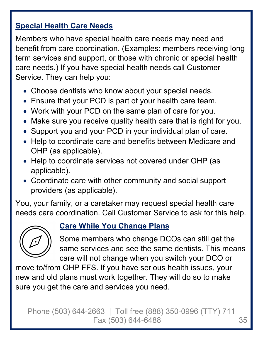#### **Special Health Care Needs**

Members who have special health care needs may need and benefit from care coordination. (Examples: members receiving long term services and support, or those with chronic or special health care needs.) If you have special health needs call Customer Service. They can help you:

- Choose dentists who know about your special needs.
- Ensure that your PCD is part of your health care team.
- Work with your PCD on the same plan of care for you.
- Make sure you receive quality health care that is right for you.
- Support you and your PCD in your individual plan of care.
- Help to coordinate care and benefits between Medicare and OHP (as applicable).
- Help to coordinate services not covered under OHP (as applicable).
- Coordinate care with other community and social support providers (as applicable).

You, your family, or a caretaker may request special health care needs care coordination. Call Customer Service to ask for this help.



#### **Care While You Change Plans**

Some members who change DCOs can still get the same services and see the same dentists. This means care will not change when you switch your DCO or

move to/from OHP FFS. If you have serious health issues, your new and old plans must work together. They will do so to make sure you get the care and services you need.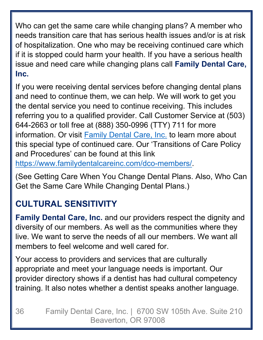Who can get the same care while changing plans? A member who needs transition care that has serious health issues and/or is at risk of hospitalization. One who may be receiving continued care which if it is stopped could harm your health. If you have a serious health issue and need care while changing plans call **Family Dental Care, Inc.** 

If you were receiving dental services before changing dental plans and need to continue them, we can help. We will work to get you the dental service you need to continue receiving. This includes referring you to a qualified provider. Call Customer Service at (503) 644-2663 or toll free at (888) 350-0996 (TTY) 711 for more information. Or visit Family Dental Care, Inc. to learn more about this special type of continued care. Our 'Transitions of Care Policy and Procedures' can be found at this link https://www.familydentalcareinc.com/dco-members/.

(See Getting Care When You Change Dental Plans. Also, Who Can Get the Same Care While Changing Dental Plans.)

# **CULTURAL SENSITIVITY**

**Family Dental Care, Inc.** and our providers respect the dignity and diversity of our members. As well as the communities where they live. We want to serve the needs of all our members. We want all members to feel welcome and well cared for.

Your access to providers and services that are culturally appropriate and meet your language needs is important. Our provider directory shows if a dentist has had cultural competency training. It also notes whether a dentist speaks another language.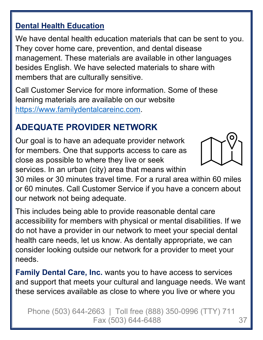#### **Dental Health Education**

We have dental health education materials that can be sent to you. They cover home care, prevention, and dental disease management. These materials are available in other languages besides English. We have selected materials to share with members that are culturally sensitive.

Call Customer Service for more information. Some of these learning materials are available on our website https://www.familydentalcareinc.com.

## **ADEQUATE PROVIDER NETWORK**

Our goal is to have an adequate provider network for members. One that supports access to care as close as possible to where they live or seek services. In an urban (city) area that means within



30 miles or 30 minutes travel time. For a rural area within 60 miles or 60 minutes. Call Customer Service if you have a concern about our network not being adequate.

This includes being able to provide reasonable dental care accessibility for members with physical or mental disabilities. If we do not have a provider in our network to meet your special dental health care needs, let us know. As dentally appropriate, we can consider looking outside our network for a provider to meet your needs.

**Family Dental Care, Inc.** wants you to have access to services and support that meets your cultural and language needs. We want these services available as close to where you live or where you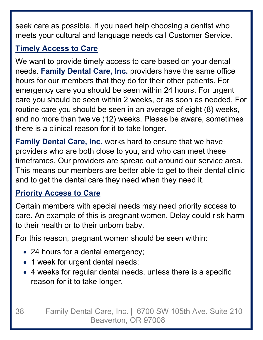seek care as possible. If you need help choosing a dentist who meets your cultural and language needs call Customer Service.

## **Timely Access to Care**

We want to provide timely access to care based on your dental needs. **Family Dental Care, Inc.** providers have the same office hours for our members that they do for their other patients. For emergency care you should be seen within 24 hours. For urgent care you should be seen within 2 weeks, or as soon as needed. For routine care you should be seen in an average of eight (8) weeks, and no more than twelve (12) weeks. Please be aware, sometimes there is a clinical reason for it to take longer.

**Family Dental Care, Inc.** works hard to ensure that we have providers who are both close to you, and who can meet these timeframes. Our providers are spread out around our service area. This means our members are better able to get to their dental clinic and to get the dental care they need when they need it.

#### **Priority Access to Care**

Certain members with special needs may need priority access to care. An example of this is pregnant women. Delay could risk harm to their health or to their unborn baby.

For this reason, pregnant women should be seen within:

- 24 hours for a dental emergency;
- 1 week for urgent dental needs;
- 4 weeks for regular dental needs, unless there is a specific reason for it to take longer.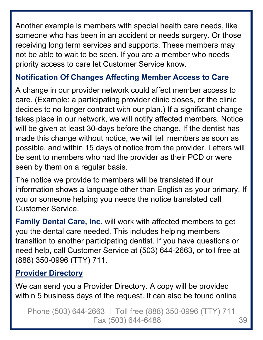Another example is members with special health care needs, like someone who has been in an accident or needs surgery. Or those receiving long term services and supports. These members may not be able to wait to be seen. If you are a member who needs priority access to care let Customer Service know.

#### **Notification Of Changes Affecting Member Access to Care**

A change in our provider network could affect member access to care. (Example: a participating provider clinic closes, or the clinic decides to no longer contract with our plan.) If a significant change takes place in our network, we will notify affected members. Notice will be given at least 30-days before the change. If the dentist has made this change without notice, we will tell members as soon as possible, and within 15 days of notice from the provider. Letters will be sent to members who had the provider as their PCD or were seen by them on a regular basis.

The notice we provide to members will be translated if our information shows a language other than English as your primary. If you or someone helping you needs the notice translated call Customer Service.

**Family Dental Care, Inc.** will work with affected members to get you the dental care needed. This includes helping members transition to another participating dentist. If you have questions or need help, call Customer Service at (503) 644-2663, or toll free at (888) 350-0996 (TTY) 711.

#### **Provider Directory**

We can send you a Provider Directory. A copy will be provided within 5 business days of the request. It can also be found online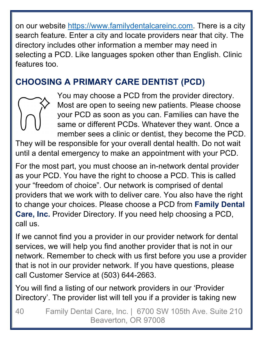on our website https://www.familydentalcareinc.com. There is a city search feature. Enter a city and locate providers near that city. The directory includes other information a member may need in selecting a PCD. Like languages spoken other than English. Clinic features too.

## **CHOOSING A PRIMARY CARE DENTIST (PCD)**



You may choose a PCD from the provider directory. Most are open to seeing new patients. Please choose your PCD as soon as you can. Families can have the same or different PCDs. Whatever they want. Once a member sees a clinic or dentist, they become the PCD.

They will be responsible for your overall dental health. Do not wait until a dental emergency to make an appointment with your PCD.

For the most part, you must choose an in-network dental provider as your PCD. You have the right to choose a PCD. This is called your "freedom of choice". Our network is comprised of dental providers that we work with to deliver care. You also have the right to change your choices. Please choose a PCD from **Family Dental Care, Inc.** Provider Directory. If you need help choosing a PCD, call us.

If we cannot find you a provider in our provider network for dental services, we will help you find another provider that is not in our network. Remember to check with us first before you use a provider that is not in our provider network. If you have questions, please call Customer Service at (503) 644-2663.

You will find a listing of our network providers in our 'Provider Directory'. The provider list will tell you if a provider is taking new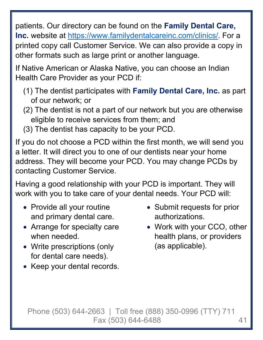patients. Our directory can be found on the **Family Dental Care, Inc.** website at https://www.familydentalcareinc.com/clinics/. For a printed copy call Customer Service. We can also provide a copy in other formats such as large print or another language.

If Native American or Alaska Native, you can choose an Indian Health Care Provider as your PCD if:

- (1) The dentist participates with **Family Dental Care, Inc.** as part of our network; or
- (2) The dentist is not a part of our network but you are otherwise eligible to receive services from them; and
- (3) The dentist has capacity to be your PCD.

If you do not choose a PCD within the first month, we will send you a letter. It will direct you to one of our dentists near your home address. They will become your PCD. You may change PCDs by contacting Customer Service.

Having a good relationship with your PCD is important. They will work with you to take care of your dental needs. Your PCD will:

- Provide all your routine and primary dental care.
- Arrange for specialty care when needed.
- Write prescriptions (only for dental care needs).
- Keep your dental records.
- Submit requests for prior authorizations.
- Work with your CCO, other health plans, or providers (as applicable).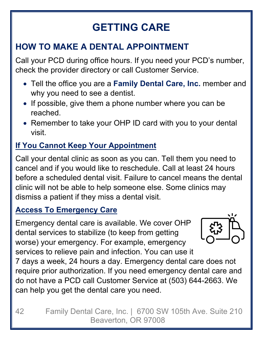# **GETTING CARE**

## **HOW TO MAKE A DENTAL APPOINTMENT**

Call your PCD during office hours. If you need your PCD's number, check the provider directory or call Customer Service.

- Tell the office you are a **Family Dental Care, Inc.** member and why you need to see a dentist.
- If possible, give them a phone number where you can be reached.
- Remember to take your OHP ID card with you to your dental visit.

## **If You Cannot Keep Your Appointment**

Call your dental clinic as soon as you can. Tell them you need to cancel and if you would like to reschedule. Call at least 24 hours before a scheduled dental visit. Failure to cancel means the dental clinic will not be able to help someone else. Some clinics may dismiss a patient if they miss a dental visit.

#### **Access To Emergency Care**

Emergency dental care is available. We cover OHP dental services to stabilize (to keep from getting worse) your emergency. For example, emergency services to relieve pain and infection. You can use it



7 days a week, 24 hours a day. Emergency dental care does not require prior authorization. If you need emergency dental care and do not have a PCD call Customer Service at (503) 644-2663. We can help you get the dental care you need.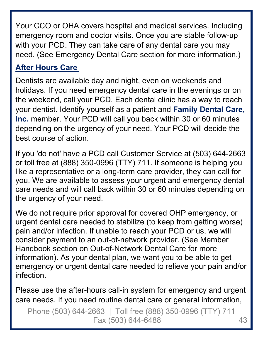Your CCO or OHA covers hospital and medical services. Including emergency room and doctor visits. Once you are stable follow-up with your PCD. They can take care of any dental care you may need. (See Emergency Dental Care section for more information.)

#### **After Hours Care**

Dentists are available day and night, even on weekends and holidays. If you need emergency dental care in the evenings or on the weekend, call your PCD. Each dental clinic has a way to reach your dentist. Identify yourself as a patient and **Family Dental Care, Inc.** member. Your PCD will call you back within 30 or 60 minutes depending on the urgency of your need. Your PCD will decide the best course of action.

If you 'do not' have a PCD call Customer Service at (503) 644-2663 or toll free at (888) 350-0996 (TTY) 711. If someone is helping you like a representative or a long-term care provider, they can call for you. We are available to assess your urgent and emergency dental care needs and will call back within 30 or 60 minutes depending on the urgency of your need.

We do not require prior approval for covered OHP emergency, or urgent dental care needed to stabilize (to keep from getting worse) pain and/or infection. If unable to reach your PCD or us, we will consider payment to an out-of-network provider. (See Member Handbook section on Out-of-Network Dental Care for more information). As your dental plan, we want you to be able to get emergency or urgent dental care needed to relieve your pain and/or infection.

Please use the after-hours call-in system for emergency and urgent care needs. If you need routine dental care or general information,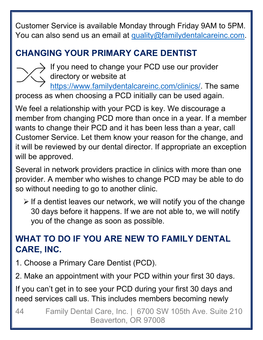Customer Service is available Monday through Friday 9AM to 5PM. You can also send us an email at quality@familydentalcareinc.com.

## **CHANGING YOUR PRIMARY CARE DENTIST**



- If you need to change your PCD use our provider
- directory or website at

https://www.familydentalcareinc.com/clinics/. The same process as when choosing a PCD initially can be used again.

We feel a relationship with your PCD is key. We discourage a member from changing PCD more than once in a year. If a member wants to change their PCD and it has been less than a year, call Customer Service. Let them know your reason for the change, and it will be reviewed by our dental director. If appropriate an exception will be approved.

Several in network providers practice in clinics with more than one provider. A member who wishes to change PCD may be able to do so without needing to go to another clinic.

 $\triangleright$  If a dentist leaves our network, we will notify you of the change 30 days before it happens. If we are not able to, we will notify you of the change as soon as possible.

## **WHAT TO DO IF YOU ARE NEW TO FAMILY DENTAL CARE, INC.**

- 1. Choose a Primary Care Dentist (PCD).
- 2. Make an appointment with your PCD within your first 30 days.

If you can't get in to see your PCD during your first 30 days and need services call us. This includes members becoming newly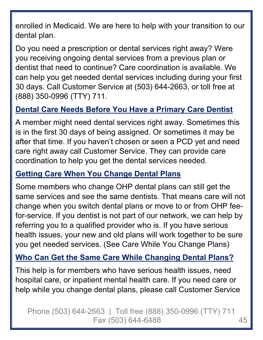enrolled in Medicaid. We are here to help with your transition to our dental plan.

Do you need a prescription or dental services right away? Were you receiving ongoing dental services from a previous plan or dentist that need to continue? Care coordination is available. We can help you get needed dental services including during your first 30 days. Call Customer Service at (503) 644-2663, or toll free at (888) 350-0996 (TTY) 711.

#### **Dental Care Needs Before You Have a Primary Care Dentist**

A member might need dental services right away. Sometimes this is in the first 30 days of being assigned. Or sometimes it may be after that time. If you haven't chosen or seen a PCD yet and need care right away call Customer Service. They can provide care coordination to help you get the dental services needed.

#### **Getting Care When You Change Dental Plans**

Some members who change OHP dental plans can still get the same services and see the same dentists. That means care will not change when you switch dental plans or move to or from OHP feefor-service. If you dentist is not part of our network, we can help by referring you to a qualified provider who is. If you have serious health issues, your new and old plans will work together to be sure you get needed services. (See Care While You Change Plans)

#### **Who Can Get the Same Care While Changing Dental Plans?**

This help is for members who have serious health issues, need hospital care, or inpatient mental health care. If you need care or help while you change dental plans, please call Customer Service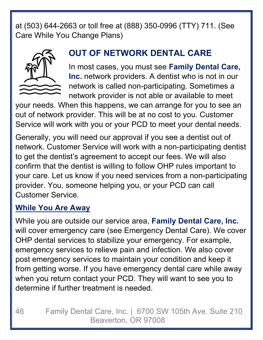at (503) 644-2663 or toll free at (888) 350-0996 (TTY) 711. (See Care While You Change Plans)



## **OUT OF NETWORK DENTAL CARE**

In most cases, you must see **Family Dental Care, Inc.** network providers. A dentist who is not in our network is called non-participating. Sometimes a network provider is not able or available to meet

your needs. When this happens, we can arrange for you to see an out of network provider. This will be at no cost to you. Customer Service will work with you or your PCD to meet your dental needs.

Generally, you will need our approval if you see a dentist out of network. Customer Service will work with a non-participating dentist to get the dentist's agreement to accept our fees. We will also confirm that the dentist is willing to follow OHP rules important to your care. Let us know if you need services from a non-participating provider. You, someone helping you, or your PCD can call Customer Service.

#### **While You Are Away**

While you are outside our service area, **Family Dental Care, Inc.** will cover emergency care (see Emergency Dental Care). We cover OHP dental services to stabilize your emergency. For example, emergency services to relieve pain and infection. We also cover post emergency services to maintain your condition and keep it from getting worse. If you have emergency dental care while away when you return contact your PCD. They will want to see you to determine if further treatment is needed.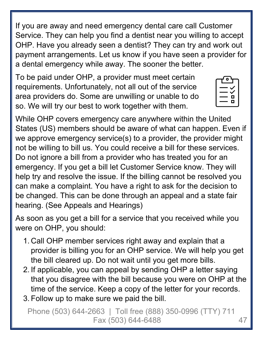If you are away and need emergency dental care call Customer Service. They can help you find a dentist near you willing to accept OHP. Have you already seen a dentist? They can try and work out payment arrangements. Let us know if you have seen a provider for a dental emergency while away. The sooner the better.

To be paid under OHP, a provider must meet certain requirements. Unfortunately, not all out of the service area providers do. Some are unwilling or unable to do so. We will try our best to work together with them.

While OHP covers emergency care anywhere within the United States (US) members should be aware of what can happen. Even if we approve emergency service(s) to a provider, the provider might not be willing to bill us. You could receive a bill for these services. Do not ignore a bill from a provider who has treated you for an emergency. If you get a bill let Customer Service know. They will help try and resolve the issue. If the billing cannot be resolved you can make a complaint. You have a right to ask for the decision to be changed. This can be done through an appeal and a state fair hearing. (See Appeals and Hearings)

As soon as you get a bill for a service that you received while you were on OHP, you should:

- 1. Call OHP member services right away and explain that a provider is billing you for an OHP service. We will help you get the bill cleared up. Do not wait until you get more bills.
- 2. If applicable, you can appeal by sending OHP a letter saying that you disagree with the bill because you were on OHP at the time of the service. Keep a copy of the letter for your records.
- 3. Follow up to make sure we paid the bill.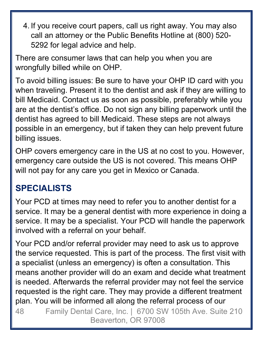4. If you receive court papers, call us right away. You may also call an attorney or the Public Benefits Hotline at (800) 520- 5292 for legal advice and help.

There are consumer laws that can help you when you are wrongfully billed while on OHP.

To avoid billing issues: Be sure to have your OHP ID card with you when traveling. Present it to the dentist and ask if they are willing to bill Medicaid. Contact us as soon as possible, preferably while you are at the dentist's office. Do not sign any billing paperwork until the dentist has agreed to bill Medicaid. These steps are not always possible in an emergency, but if taken they can help prevent future billing issues.

OHP covers emergency care in the US at no cost to you. However, emergency care outside the US is not covered. This means OHP will not pay for any care you get in Mexico or Canada.

## **SPECIALISTS**

Your PCD at times may need to refer you to another dentist for a service. It may be a general dentist with more experience in doing a service. It may be a specialist. Your PCD will handle the paperwork involved with a referral on your behalf.

Your PCD and/or referral provider may need to ask us to approve the service requested. This is part of the process. The first visit with a specialist (unless an emergency) is often a consultation. This means another provider will do an exam and decide what treatment is needed. Afterwards the referral provider may not feel the service requested is the right care. They may provide a different treatment plan. You will be informed all along the referral process of our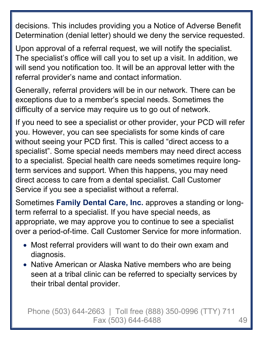decisions. This includes providing you a Notice of Adverse Benefit Determination (denial letter) should we deny the service requested.

Upon approval of a referral request, we will notify the specialist. The specialist's office will call you to set up a visit. In addition, we will send you notification too. It will be an approval letter with the referral provider's name and contact information.

Generally, referral providers will be in our network. There can be exceptions due to a member's special needs. Sometimes the difficulty of a service may require us to go out of network.

If you need to see a specialist or other provider, your PCD will refer you. However, you can see specialists for some kinds of care without seeing your PCD first. This is called "direct access to a specialist". Some special needs members may need direct access to a specialist. Special health care needs sometimes require longterm services and support. When this happens, you may need direct access to care from a dental specialist. Call Customer Service if you see a specialist without a referral.

Sometimes **Family Dental Care, Inc.** approves a standing or longterm referral to a specialist. If you have special needs, as appropriate, we may approve you to continue to see a specialist over a period-of-time. Call Customer Service for more information.

- Most referral providers will want to do their own exam and diagnosis.
- Native American or Alaska Native members who are being seen at a tribal clinic can be referred to specialty services by their tribal dental provider.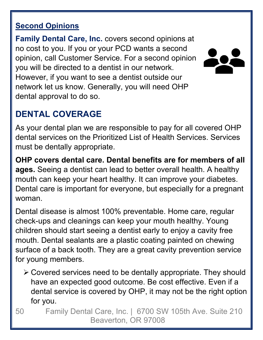#### **Second Opinions**

**Family Dental Care, Inc.** covers second opinions at no cost to you. If you or your PCD wants a second opinion, call Customer Service. For a second opinion you will be directed to a dentist in our network. However, if you want to see a dentist outside our network let us know. Generally, you will need OHP dental approval to do so.



## **DENTAL COVERAGE**

As your dental plan we are responsible to pay for all covered OHP dental services on the Prioritized List of Health Services. Services must be dentally appropriate.

**OHP covers dental care. Dental benefits are for members of all ages.** Seeing a dentist can lead to better overall health. A healthy mouth can keep your heart healthy. It can improve your diabetes. Dental care is important for everyone, but especially for a pregnant woman.

Dental disease is almost 100% preventable. Home care, regular check-ups and cleanings can keep your mouth healthy. Young children should start seeing a dentist early to enjoy a cavity free mouth. Dental sealants are a plastic coating painted on chewing surface of a back tooth. They are a great cavity prevention service for young members.

- Covered services need to be dentally appropriate. They should have an expected good outcome. Be cost effective. Even if a dental service is covered by OHP, it may not be the right option for you.
- 50 Family Dental Care, Inc. | 6700 SW 105th Ave. Suite 210 Beaverton, OR 97008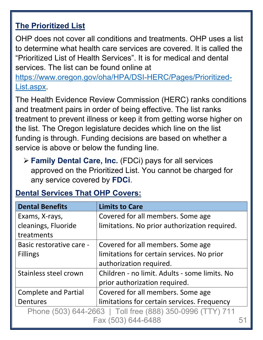### **The Prioritized List**

OHP does not cover all conditions and treatments. OHP uses a list to determine what health care services are covered. It is called the "Prioritized List of Health Services". It is for medical and dental services. The list can be found online at

https://www.oregon.gov/oha/HPA/DSI-HERC/Pages/Prioritized-List.aspx.

The Health Evidence Review Commission (HERC) ranks conditions and treatment pairs in order of being effective. The list ranks treatment to prevent illness or keep it from getting worse higher on the list. The Oregon legislature decides which line on the list funding is through. Funding decisions are based on whether a service is above or below the funding line.

 **Family Dental Care, Inc.** (FDCi) pays for all services approved on the Prioritized List. You cannot be charged for any service covered by **FDCi**.

| <b>Dental Benefits</b>                                    | <b>Limits to Care</b>                         |  |
|-----------------------------------------------------------|-----------------------------------------------|--|
| Exams, X-rays,                                            | Covered for all members. Some age             |  |
| cleanings, Fluoride                                       | limitations. No prior authorization required. |  |
| treatments                                                |                                               |  |
| Basic restorative care -                                  | Covered for all members. Some age             |  |
| <b>Fillings</b>                                           | limitations for certain services. No prior    |  |
|                                                           | authorization required.                       |  |
| Stainless steel crown                                     | Children - no limit. Adults - some limits. No |  |
|                                                           | prior authorization required.                 |  |
| <b>Complete and Partial</b>                               | Covered for all members. Some age             |  |
| Dentures                                                  | limitations for certain services. Frequency   |  |
| Phone (503) 644-2663   Toll free (888) 350-0996 (TTY) 711 |                                               |  |
| Fax (503) 644-6488                                        |                                               |  |

## **Dental Services That OHP Covers:**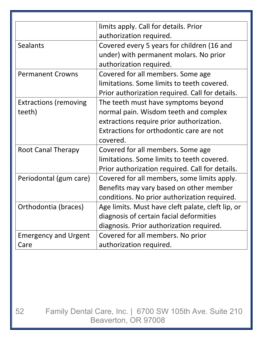|                              | limits apply. Call for details. Prior             |  |
|------------------------------|---------------------------------------------------|--|
|                              | authorization required.                           |  |
| <b>Sealants</b>              | Covered every 5 years for children (16 and        |  |
|                              | under) with permanent molars. No prior            |  |
|                              | authorization required.                           |  |
| <b>Permanent Crowns</b>      | Covered for all members. Some age                 |  |
|                              | limitations. Some limits to teeth covered.        |  |
|                              | Prior authorization required. Call for details.   |  |
| <b>Extractions (removing</b> | The teeth must have symptoms beyond               |  |
| teeth)                       | normal pain. Wisdom teeth and complex             |  |
|                              | extractions require prior authorization.          |  |
|                              | Extractions for orthodontic care are not          |  |
|                              | covered.                                          |  |
| <b>Root Canal Therapy</b>    | Covered for all members. Some age                 |  |
|                              | limitations. Some limits to teeth covered.        |  |
|                              | Prior authorization required. Call for details.   |  |
| Periodontal (gum care)       | Covered for all members, some limits apply.       |  |
|                              | Benefits may vary based on other member           |  |
|                              | conditions. No prior authorization required.      |  |
| Orthodontia (braces)         | Age limits. Must have cleft palate, cleft lip, or |  |
|                              | diagnosis of certain facial deformities           |  |
|                              | diagnosis. Prior authorization required.          |  |
| <b>Emergency and Urgent</b>  | Covered for all members. No prior                 |  |
| Care                         | authorization required.                           |  |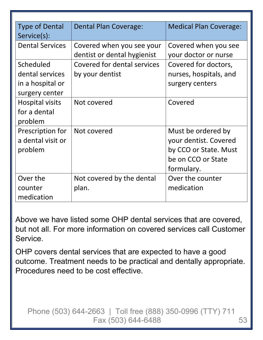| <b>Type of Dental</b>  | <b>Dental Plan Coverage:</b> | <b>Medical Plan Coverage:</b> |
|------------------------|------------------------------|-------------------------------|
| Service(s):            |                              |                               |
| <b>Dental Services</b> | Covered when you see your    | Covered when you see          |
|                        | dentist or dental hygienist  | your doctor or nurse          |
| Scheduled              | Covered for dental services  | Covered for doctors,          |
| dental services        | by your dentist              | nurses, hospitals, and        |
| in a hospital or       |                              | surgery centers               |
| surgery center         |                              |                               |
| Hospital visits        | Not covered                  | Covered                       |
| for a dental           |                              |                               |
| problem                |                              |                               |
| Prescription for       | Not covered                  | Must be ordered by            |
| a dental visit or      |                              | your dentist. Covered         |
| problem                |                              | by CCO or State. Must         |
|                        |                              | be on CCO or State            |
|                        |                              | formulary.                    |
| Over the               | Not covered by the dental    | Over the counter              |
| counter                | plan.                        | medication                    |
| medication             |                              |                               |

Above we have listed some OHP dental services that are covered, but not all. For more information on covered services call Customer Service.

OHP covers dental services that are expected to have a good outcome. Treatment needs to be practical and dentally appropriate. Procedures need to be cost effective.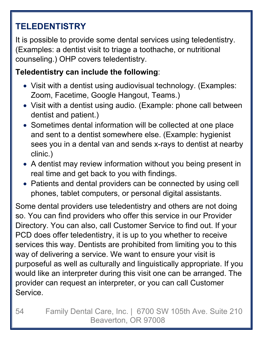## **TELEDENTISTRY**

It is possible to provide some dental services using teledentistry. (Examples: a dentist visit to triage a toothache, or nutritional counseling.) OHP covers teledentistry.

#### **Teledentistry can include the following**:

- Visit with a dentist using audiovisual technology. (Examples: Zoom, Facetime, Google Hangout, Teams.)
- Visit with a dentist using audio. (Example: phone call between dentist and patient.)
- Sometimes dental information will be collected at one place and sent to a dentist somewhere else. (Example: hygienist sees you in a dental van and sends x-rays to dentist at nearby clinic.)
- A dentist may review information without you being present in real time and get back to you with findings.
- Patients and dental providers can be connected by using cell phones, tablet computers, or personal digital assistants.

Some dental providers use teledentistry and others are not doing so. You can find providers who offer this service in our Provider Directory. You can also, call Customer Service to find out. If your PCD does offer teledentistry, it is up to you whether to receive services this way. Dentists are prohibited from limiting you to this way of delivering a service. We want to ensure your visit is purposeful as well as culturally and linguistically appropriate. If you would like an interpreter during this visit one can be arranged. The provider can request an interpreter, or you can call Customer Service.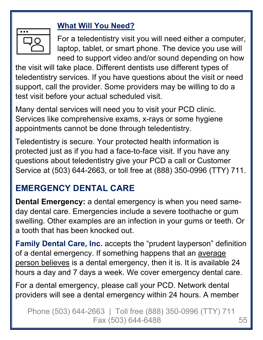#### **What Will You Need?**



For a teledentistry visit you will need either a computer, laptop, tablet, or smart phone. The device you use will need to support video and/or sound depending on how

the visit will take place. Different dentists use different types of teledentistry services. If you have questions about the visit or need support, call the provider. Some providers may be willing to do a test visit before your actual scheduled visit.

Many dental services will need you to visit your PCD clinic. Services like comprehensive exams, x-rays or some hygiene appointments cannot be done through teledentistry.

Teledentistry is secure. Your protected health information is protected just as if you had a face-to-face visit. If you have any questions about teledentistry give your PCD a call or Customer Service at (503) 644-2663, or toll free at (888) 350-0996 (TTY) 711.

## **EMERGENCY DENTAL CARE**

**Dental Emergency:** a dental emergency is when you need sameday dental care. Emergencies include a severe toothache or gum swelling. Other examples are an infection in your gums or teeth. Or a tooth that has been knocked out.

**Family Dental Care, Inc.** accepts the "prudent layperson" definition of a dental emergency. If something happens that an average person believes is a dental emergency, then it is. It is available 24 hours a day and 7 days a week. We cover emergency dental care.

For a dental emergency, please call your PCD. Network dental providers will see a dental emergency within 24 hours. A member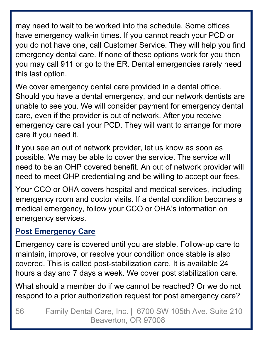may need to wait to be worked into the schedule. Some offices have emergency walk-in times. If you cannot reach your PCD or you do not have one, call Customer Service. They will help you find emergency dental care. If none of these options work for you then you may call 911 or go to the ER. Dental emergencies rarely need this last option.

We cover emergency dental care provided in a dental office. Should you have a dental emergency, and our network dentists are unable to see you. We will consider payment for emergency dental care, even if the provider is out of network. After you receive emergency care call your PCD. They will want to arrange for more care if you need it.

If you see an out of network provider, let us know as soon as possible. We may be able to cover the service. The service will need to be an OHP covered benefit. An out of network provider will need to meet OHP credentialing and be willing to accept our fees.

Your CCO or OHA covers hospital and medical services, including emergency room and doctor visits. If a dental condition becomes a medical emergency, follow your CCO or OHA's information on emergency services.

#### **Post Emergency Care**

Emergency care is covered until you are stable. Follow-up care to maintain, improve, or resolve your condition once stable is also covered. This is called post-stabilization care. It is available 24 hours a day and 7 days a week. We cover post stabilization care.

What should a member do if we cannot be reached? Or we do not respond to a prior authorization request for post emergency care?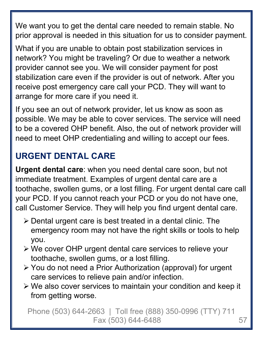We want you to get the dental care needed to remain stable. No prior approval is needed in this situation for us to consider payment.

What if you are unable to obtain post stabilization services in network? You might be traveling? Or due to weather a network provider cannot see you. We will consider payment for post stabilization care even if the provider is out of network. After you receive post emergency care call your PCD. They will want to arrange for more care if you need it.

If you see an out of network provider, let us know as soon as possible. We may be able to cover services. The service will need to be a covered OHP benefit. Also, the out of network provider will need to meet OHP credentialing and willing to accept our fees.

## **URGENT DENTAL CARE**

**Urgent dental care**: when you need dental care soon, but not immediate treatment. Examples of urgent dental care are a toothache, swollen gums, or a lost filling. For urgent dental care call your PCD. If you cannot reach your PCD or you do not have one, call Customer Service. They will help you find urgent dental care.

- $\triangleright$  Dental urgent care is best treated in a dental clinic. The emergency room may not have the right skills or tools to help you.
- We cover OHP urgent dental care services to relieve your toothache, swollen gums, or a lost filling.
- You do not need a Prior Authorization (approval) for urgent care services to relieve pain and/or infection.
- We also cover services to maintain your condition and keep it from getting worse.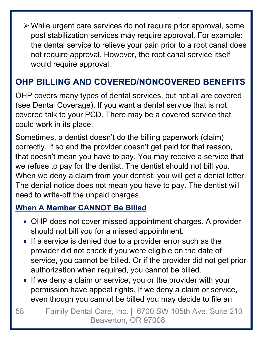While urgent care services do not require prior approval, some post stabilization services may require approval. For example: the dental service to relieve your pain prior to a root canal does not require approval. However, the root canal service itself would require approval.

## **OHP BILLING AND COVERED/NONCOVERED BENEFITS**

OHP covers many types of dental services, but not all are covered (see Dental Coverage). If you want a dental service that is not covered talk to your PCD. There may be a covered service that could work in its place.

Sometimes, a dentist doesn't do the billing paperwork (claim) correctly. If so and the provider doesn't get paid for that reason, that doesn't mean you have to pay. You may receive a service that we refuse to pay for the dentist. The dentist should not bill you. When we deny a claim from your dentist, you will get a denial letter. The denial notice does not mean you have to pay. The dentist will need to write-off the unpaid charges.

## **When A Member CANNOT Be Billed**

- OHP does not cover missed appointment charges. A provider should not bill you for a missed appointment.
- If a service is denied due to a provider error such as the provider did not check if you were eligible on the date of service, you cannot be billed. Or if the provider did not get prior authorization when required, you cannot be billed.
- If we deny a claim or service, you or the provider with your permission have appeal rights. If we deny a claim or service, even though you cannot be billed you may decide to file an
- 58 Family Dental Care, Inc. | 6700 SW 105th Ave. Suite 210 Beaverton, OR 97008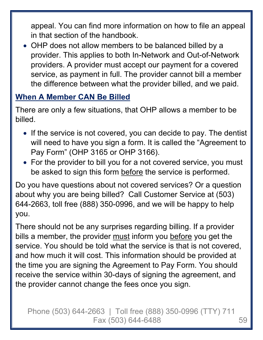appeal. You can find more information on how to file an appeal in that section of the handbook.

 OHP does not allow members to be balanced billed by a provider. This applies to both In-Network and Out-of-Network providers. A provider must accept our payment for a covered service, as payment in full. The provider cannot bill a member the difference between what the provider billed, and we paid.

#### **When A Member CAN Be Billed**

There are only a few situations, that OHP allows a member to be billed.

- If the service is not covered, you can decide to pay. The dentist will need to have you sign a form. It is called the "Agreement to Pay Form" (OHP 3165 or OHP 3166).
- For the provider to bill you for a not covered service, you must be asked to sign this form before the service is performed.

Do you have questions about not covered services? Or a question about why you are being billed? Call Customer Service at (503) 644-2663, toll free (888) 350-0996, and we will be happy to help you.

There should not be any surprises regarding billing. If a provider bills a member, the provider must inform you before you get the service. You should be told what the service is that is not covered, and how much it will cost. This information should be provided at the time you are signing the Agreement to Pay Form. You should receive the service within 30-days of signing the agreement, and the provider cannot change the fees once you sign.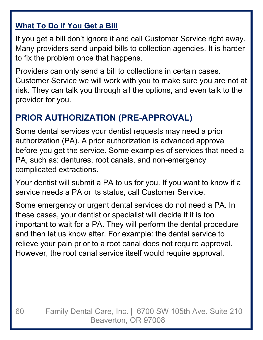#### **What To Do if You Get a Bill**

If you get a bill don't ignore it and call Customer Service right away. Many providers send unpaid bills to collection agencies. It is harder to fix the problem once that happens.

Providers can only send a bill to collections in certain cases. Customer Service we will work with you to make sure you are not at risk. They can talk you through all the options, and even talk to the provider for you.

## **PRIOR AUTHORIZATION (PRE-APPROVAL)**

Some dental services your dentist requests may need a prior authorization (PA). A prior authorization is advanced approval before you get the service. Some examples of services that need a PA, such as: dentures, root canals, and non-emergency complicated extractions.

Your dentist will submit a PA to us for you. If you want to know if a service needs a PA or its status, call Customer Service.

Some emergency or urgent dental services do not need a PA. In these cases, your dentist or specialist will decide if it is too important to wait for a PA. They will perform the dental procedure and then let us know after. For example: the dental service to relieve your pain prior to a root canal does not require approval. However, the root canal service itself would require approval.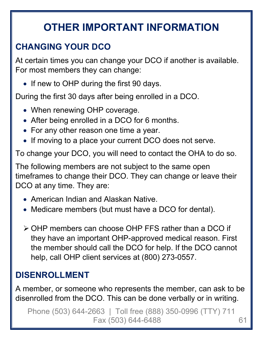# **OTHER IMPORTANT INFORMATION**

## **CHANGING YOUR DCO**

At certain times you can change your DCO if another is available. For most members they can change:

• If new to OHP during the first 90 days.

During the first 30 days after being enrolled in a DCO.

- When renewing OHP coverage.
- After being enrolled in a DCO for 6 months.
- For any other reason one time a year.
- If moving to a place your current DCO does not serve.

To change your DCO, you will need to contact the OHA to do so.

The following members are not subject to the same open timeframes to change their DCO. They can change or leave their DCO at any time. They are:

- American Indian and Alaskan Native.
- Medicare members (but must have a DCO for dental).
- OHP members can choose OHP FFS rather than a DCO if they have an important OHP-approved medical reason. First the member should call the DCO for help. If the DCO cannot help, call OHP client services at (800) 273-0557.

## **DISENROLLMENT**

A member, or someone who represents the member, can ask to be disenrolled from the DCO. This can be done verbally or in writing.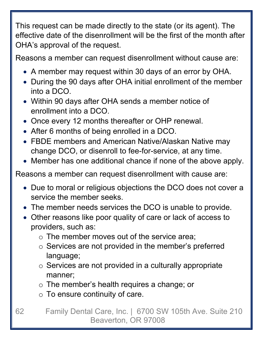This request can be made directly to the state (or its agent). The effective date of the disenrollment will be the first of the month after OHA's approval of the request.

Reasons a member can request disenrollment without cause are:

- A member may request within 30 days of an error by OHA.
- During the 90 days after OHA initial enrollment of the member into a DCO.
- Within 90 days after OHA sends a member notice of enrollment into a DCO.
- Once every 12 months thereafter or OHP renewal.
- After 6 months of being enrolled in a DCO.
- FBDE members and American Native/Alaskan Native may change DCO, or disenroll to fee-for-service, at any time.
- Member has one additional chance if none of the above apply.

Reasons a member can request disenrollment with cause are:

- Due to moral or religious objections the DCO does not cover a service the member seeks.
- The member needs services the DCO is unable to provide.
- Other reasons like poor quality of care or lack of access to providers, such as:
	- o The member moves out of the service area;
	- $\circ$  Services are not provided in the member's preferred language;
	- $\circ$  Services are not provided in a culturally appropriate manner;
	- o The member's health requires a change; or
	- $\circ$  To ensure continuity of care.
- 62 Family Dental Care, Inc. | 6700 SW 105th Ave. Suite 210 Beaverton, OR 97008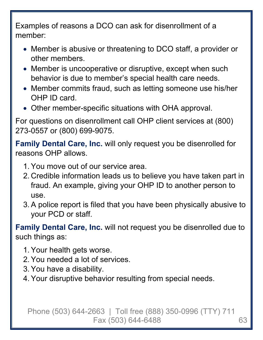Examples of reasons a DCO can ask for disenrollment of a member:

- Member is abusive or threatening to DCO staff, a provider or other members.
- Member is uncooperative or disruptive, except when such behavior is due to member's special health care needs.
- Member commits fraud, such as letting someone use his/her OHP ID card.
- Other member-specific situations with OHA approval.

For questions on disenrollment call OHP client services at (800) 273-0557 or (800) 699-9075.

**Family Dental Care, Inc.** will only request you be disenrolled for reasons OHP allows.

- 1. You move out of our service area.
- 2. Credible information leads us to believe you have taken part in fraud. An example, giving your OHP ID to another person to use.
- 3. A police report is filed that you have been physically abusive to your PCD or staff.

**Family Dental Care, Inc.** will not request you be disenrolled due to such things as:

- 1. Your health gets worse.
- 2. You needed a lot of services.
- 3. You have a disability.
- 4. Your disruptive behavior resulting from special needs.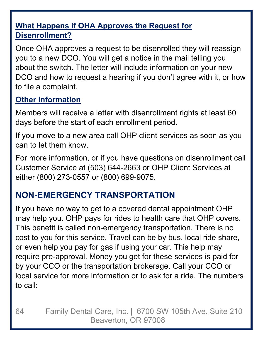### **What Happens if OHA Approves the Request for Disenrollment?**

Once OHA approves a request to be disenrolled they will reassign you to a new DCO. You will get a notice in the mail telling you about the switch. The letter will include information on your new DCO and how to request a hearing if you don't agree with it, or how to file a complaint.

#### **Other Information**

Members will receive a letter with disenrollment rights at least 60 days before the start of each enrollment period.

If you move to a new area call OHP client services as soon as you can to let them know.

For more information, or if you have questions on disenrollment call Customer Service at (503) 644-2663 or OHP Client Services at either (800) 273-0557 or (800) 699-9075.

## **NON-EMERGENCY TRANSPORTATION**

If you have no way to get to a covered dental appointment OHP may help you. OHP pays for rides to health care that OHP covers. This benefit is called non-emergency transportation. There is no cost to you for this service. Travel can be by bus, local ride share, or even help you pay for gas if using your car. This help may require pre-approval. Money you get for these services is paid for by your CCO or the transportation brokerage. Call your CCO or local service for more information or to ask for a ride. The numbers to call: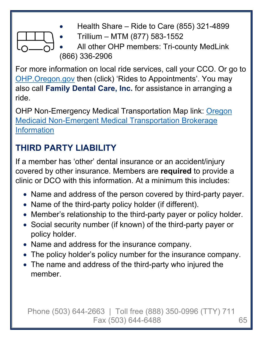

- Health Share Ride to Care (855) 321-4899
- Trillium MTM (877) 583-1552
- All other OHP members: Tri-county MedLink (866) 336-2906

For more information on local ride services, call your CCO. Or go to OHP.Oregon.gov then (click) 'Rides to Appointments'. You may also call **Family Dental Care, Inc.** for assistance in arranging a ride.

OHP Non-Emergency Medical Transportation Map link: Oregon Medicaid Non-Emergent Medical Transportation Brokerage Information

## **THIRD PARTY LIABILITY**

If a member has 'other' dental insurance or an accident/injury covered by other insurance. Members are **required** to provide a clinic or DCO with this information. At a minimum this includes:

- Name and address of the person covered by third-party payer.
- Name of the third-party policy holder (if different).
- Member's relationship to the third-party payer or policy holder.
- Social security number (if known) of the third-party payer or policy holder.
- Name and address for the insurance company.
- The policy holder's policy number for the insurance company.
- The name and address of the third-party who injured the member.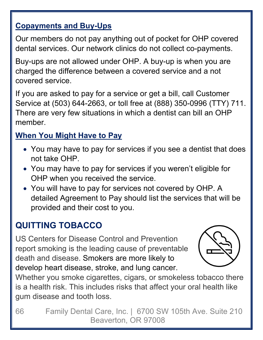#### **Copayments and Buy-Ups**

Our members do not pay anything out of pocket for OHP covered dental services. Our network clinics do not collect co-payments.

Buy-ups are not allowed under OHP. A buy-up is when you are charged the difference between a covered service and a not covered service.

If you are asked to pay for a service or get a bill, call Customer Service at (503) 644-2663, or toll free at (888) 350-0996 (TTY) 711. There are very few situations in which a dentist can bill an OHP member.

## **When You Might Have to Pay**

- You may have to pay for services if you see a dentist that does not take OHP.
- You may have to pay for services if you weren't eligible for OHP when you received the service.
- You will have to pay for services not covered by OHP. A detailed Agreement to Pay should list the services that will be provided and their cost to you.

## **QUITTING TOBACCO**

US Centers for Disease Control and Prevention report smoking is the leading cause of preventable death and disease. Smokers are more likely to develop heart disease, stroke, and lung cancer.



Whether you smoke cigarettes, cigars, or smokeless tobacco there is a health risk. This includes risks that affect your oral health like gum disease and tooth loss.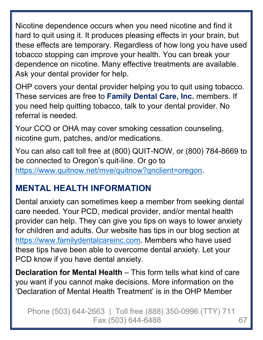Nicotine dependence occurs when you need nicotine and find it hard to quit using it. It produces pleasing effects in your brain, but these effects are temporary. Regardless of how long you have used tobacco stopping can improve your health. You can break your dependence on nicotine. Many effective treatments are available. Ask your dental provider for help.

OHP covers your dental provider helping you to quit using tobacco. These services are free to **Family Dental Care, Inc.** members. If you need help quitting tobacco, talk to your dental provider. No referral is needed.

Your CCO or OHA may cover smoking cessation counseling, nicotine gum, patches, and/or medications.

You can also call toll free at (800) QUIT-NOW, or (800) 784-8669 to be connected to Oregon's quit-line. Or go to https://www.quitnow.net/mve/quitnow?qnclient=oregon.

## **MENTAL HEALTH INFORMATION**

Dental anxiety can sometimes keep a member from seeking dental care needed. Your PCD, medical provider, and/or mental health provider can help. They can give you tips on ways to lower anxiety for children and adults. Our website has tips in our blog section at https://www.familydentalcareinc.com. Members who have used these tips have been able to overcome dental anxiety. Let your PCD know if you have dental anxiety.

**Declaration for Mental Health** – This form tells what kind of care you want if you cannot make decisions. More information on the 'Declaration of Mental Health Treatment' is in the OHP Member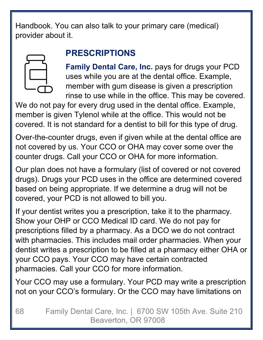Handbook. You can also talk to your primary care (medical) provider about it.

## **PRESCRIPTIONS**

**Family Dental Care, Inc.** pays for drugs your PCD uses while you are at the dental office. Example, member with gum disease is given a prescription rinse to use while in the office. This may be covered.

We do not pay for every drug used in the dental office. Example, member is given Tylenol while at the office. This would not be covered. It is not standard for a dentist to bill for this type of drug.

Over-the-counter drugs, even if given while at the dental office are not covered by us. Your CCO or OHA may cover some over the counter drugs. Call your CCO or OHA for more information.

Our plan does not have a formulary (list of covered or not covered drugs). Drugs your PCD uses in the office are determined covered based on being appropriate. If we determine a drug will not be covered, your PCD is not allowed to bill you.

If your dentist writes you a prescription, take it to the pharmacy. Show your OHP or CCO Medical ID card. We do not pay for prescriptions filled by a pharmacy. As a DCO we do not contract with pharmacies. This includes mail order pharmacies. When your dentist writes a prescription to be filled at a pharmacy either OHA or your CCO pays. Your CCO may have certain contracted pharmacies. Call your CCO for more information.

Your CCO may use a formulary. Your PCD may write a prescription not on your CCO's formulary. Or the CCO may have limitations on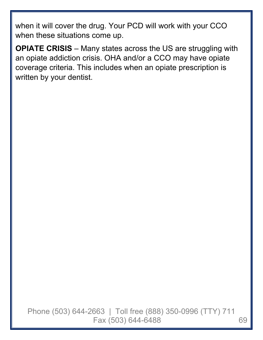when it will cover the drug. Your PCD will work with your CCO when these situations come up.

**OPIATE CRISIS** – Many states across the US are struggling with an opiate addiction crisis. OHA and/or a CCO may have opiate coverage criteria. This includes when an opiate prescription is written by your dentist.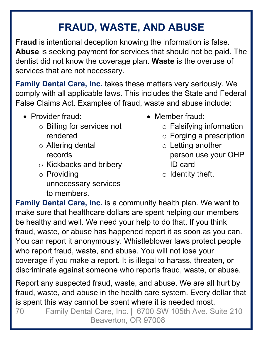# **FRAUD, WASTE, AND ABUSE**

**Fraud** is intentional deception knowing the information is false. **Abuse** is seeking payment for services that should not be paid. The dentist did not know the coverage plan. **Waste** is the overuse of services that are not necessary.

**Family Dental Care, Inc.** takes these matters very seriously. We comply with all applicable laws. This includes the State and Federal False Claims Act. Examples of fraud, waste and abuse include:

- Provider fraud:
	- o Billing for services not rendered
	- o Altering dental records
	- o Kickbacks and bribery
	- o Providing unnecessary services to members.
- Member fraud:
	- o Falsifying information
	- o Forging a prescription
	- o Letting another person use your OHP ID card
	- $\circ$  Identity theft.

**Family Dental Care, Inc.** is a community health plan. We want to make sure that healthcare dollars are spent helping our members be healthy and well. We need your help to do that. If you think fraud, waste, or abuse has happened report it as soon as you can. You can report it anonymously. Whistleblower laws protect people who report fraud, waste, and abuse. You will not lose your coverage if you make a report. It is illegal to harass, threaten, or discriminate against someone who reports fraud, waste, or abuse.

Report any suspected fraud, waste, and abuse. We are all hurt by fraud, waste, and abuse in the health care system. Every dollar that is spent this way cannot be spent where it is needed most.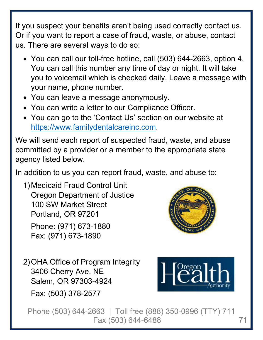If you suspect your benefits aren't being used correctly contact us. Or if you want to report a case of fraud, waste, or abuse, contact us. There are several ways to do so:

- You can call our toll-free hotline, call (503) 644-2663, option 4. You can call this number any time of day or night. It will take you to voicemail which is checked daily. Leave a message with your name, phone number.
- You can leave a message anonymously.
- You can write a letter to our Compliance Officer.
- You can go to the 'Contact Us' section on our website at https://www.familydentalcareinc.com.

We will send each report of suspected fraud, waste, and abuse committed by a provider or a member to the appropriate state agency listed below.

In addition to us you can report fraud, waste, and abuse to:

1) Medicaid Fraud Control Unit Oregon Department of Justice 100 SW Market Street Portland, OR 97201 Phone: (971) 673-1880 Fax: (971) 673-1890



2) OHA Office of Program Integrity 3406 Cherry Ave. NE Salem, OR 97303-4924 Fax: (503) 378-2577

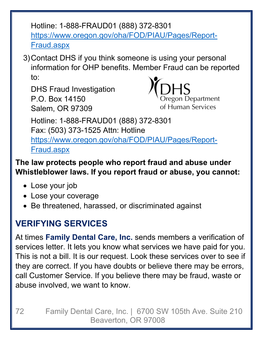Hotline: 1-888-FRAUD01 (888) 372-8301 https://www.oregon.gov/oha/FOD/PIAU/Pages/Report-Fraud.aspx

3) Contact DHS if you think someone is using your personal information for OHP benefits. Member Fraud can be reported to:

DHS Fraud Investigation P.O. Box 14150 Salem, OR 97309



Hotline: 1-888-FRAUD01 (888) 372-8301 Fax: (503) 373-1525 Attn: Hotline https://www.oregon.gov/oha/FOD/PIAU/Pages/Report-Fraud.aspx

**The law protects people who report fraud and abuse under Whistleblower laws. If you report fraud or abuse, you cannot:** 

- Lose your job
- Lose your coverage
- Be threatened, harassed, or discriminated against

## **VERIFYING SERVICES**

At times **Family Dental Care, Inc.** sends members a verification of services letter. It lets you know what services we have paid for you. This is not a bill. It is our request. Look these services over to see if they are correct. If you have doubts or believe there may be errors, call Customer Service. If you believe there may be fraud, waste or abuse involved, we want to know.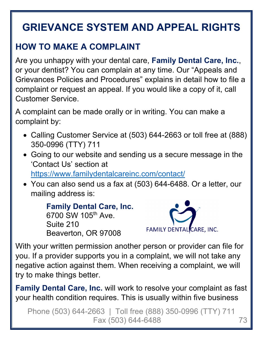# **GRIEVANCE SYSTEM AND APPEAL RIGHTS**

## **HOW TO MAKE A COMPLAINT**

Are you unhappy with your dental care, **Family Dental Care, Inc.**, or your dentist? You can complain at any time. Our "Appeals and Grievances Policies and Procedures" explains in detail how to file a complaint or request an appeal. If you would like a copy of it, call Customer Service.

A complaint can be made orally or in writing. You can make a complaint by:

- Calling Customer Service at (503) 644-2663 or toll free at (888) 350-0996 (TTY) 711
- Going to our website and sending us a secure message in the 'Contact Us' section at https://www.familydentalcareinc.com/contact/
- You can also send us a fax at (503) 644-6488. Or a letter, our mailing address is:

```
Family Dental Care, Inc. 
6700 SW 105th Ave. 
Suite 210 
Beaverton, OR 97008
```


With your written permission another person or provider can file for you. If a provider supports you in a complaint, we will not take any negative action against them. When receiving a complaint, we will try to make things better.

**Family Dental Care, Inc.** will work to resolve your complaint as fast your health condition requires. This is usually within five business

Phone (503) 644-2663 | Toll free (888) 350-0996 (TTY) 711 Fax (503) 644-6488 73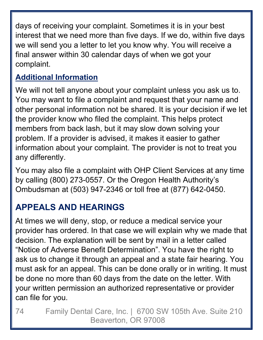days of receiving your complaint. Sometimes it is in your best interest that we need more than five days. If we do, within five days we will send you a letter to let you know why. You will receive a final answer within 30 calendar days of when we got your complaint.

## **Additional Information**

We will not tell anyone about your complaint unless you ask us to. You may want to file a complaint and request that your name and other personal information not be shared. It is your decision if we let the provider know who filed the complaint. This helps protect members from back lash, but it may slow down solving your problem. If a provider is advised, it makes it easier to gather information about your complaint. The provider is not to treat you any differently.

You may also file a complaint with OHP Client Services at any time by calling (800) 273-0557. Or the Oregon Health Authority's Ombudsman at (503) 947-2346 or toll free at (877) 642-0450.

# **APPEALS AND HEARINGS**

At times we will deny, stop, or reduce a medical service your provider has ordered. In that case we will explain why we made that decision. The explanation will be sent by mail in a letter called "Notice of Adverse Benefit Determination". You have the right to ask us to change it through an appeal and a state fair hearing. You must ask for an appeal. This can be done orally or in writing. It must be done no more than 60 days from the date on the letter. With your written permission an authorized representative or provider can file for you.

74 Family Dental Care, Inc. | 6700 SW 105th Ave. Suite 210 Beaverton, OR 97008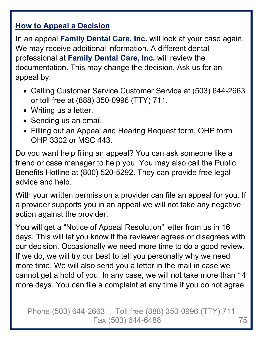#### **How to Appeal a Decision**

In an appeal **Family Dental Care, Inc.** will look at your case again. We may receive additional information. A different dental professional at **Family Dental Care, Inc.** will review the documentation. This may change the decision. Ask us for an appeal by:

- Calling Customer Service Customer Service at (503) 644-2663 or toll free at (888) 350-0996 (TTY) 711.
- Writing us a letter.
- Sending us an email.
- Filling out an Appeal and Hearing Request form, OHP form OHP 3302 or MSC 443.

Do you want help filing an appeal? You can ask someone like a friend or case manager to help you. You may also call the Public Benefits Hotline at (800) 520-5292. They can provide free legal advice and help.

With your written permission a provider can file an appeal for you. If a provider supports you in an appeal we will not take any negative action against the provider.

You will get a "Notice of Appeal Resolution" letter from us in 16 days. This will let you know if the reviewer agrees or disagrees with our decision. Occasionally we need more time to do a good review. If we do, we will try our best to tell you personally why we need more time. We will also send you a letter in the mail in case we cannot get a hold of you. In any case, we will not take more than 14 more days. You can file a complaint at any time if you do not agree

Phone (503) 644-2663 | Toll free (888) 350-0996 (TTY) 711 Fax (503) 644-6488 75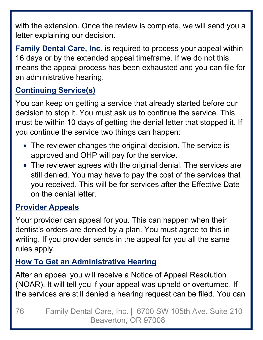with the extension. Once the review is complete, we will send you a letter explaining our decision.

**Family Dental Care, Inc.** is required to process your appeal within 16 days or by the extended appeal timeframe. If we do not this means the appeal process has been exhausted and you can file for an administrative hearing.

### **Continuing Service(s)**

You can keep on getting a service that already started before our decision to stop it. You must ask us to continue the service. This must be within 10 days of getting the denial letter that stopped it. If you continue the service two things can happen:

- The reviewer changes the original decision. The service is approved and OHP will pay for the service.
- The reviewer agrees with the original denial. The services are still denied. You may have to pay the cost of the services that you received. This will be for services after the Effective Date on the denial letter.

### **Provider Appeals**

Your provider can appeal for you. This can happen when their dentist's orders are denied by a plan. You must agree to this in writing. If you provider sends in the appeal for you all the same rules apply.

### **How To Get an Administrative Hearing**

After an appeal you will receive a Notice of Appeal Resolution (NOAR). It will tell you if your appeal was upheld or overturned. If the services are still denied a hearing request can be filed. You can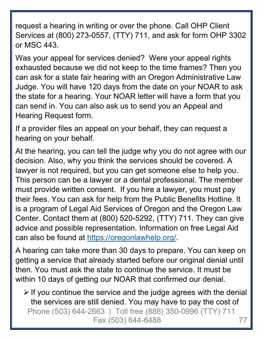request a hearing in writing or over the phone. Call OHP Client Services at (800) 273-0557, (TTY) 711, and ask for form OHP 3302 or MSC 443.

Was your appeal for services denied? Were your appeal rights exhausted because we did not keep to the time frames? Then you can ask for a state fair hearing with an Oregon Administrative Law Judge. You will have 120 days from the date on your NOAR to ask the state for a hearing. Your NOAR letter will have a form that you can send in. You can also ask us to send you an Appeal and Hearing Request form.

If a provider files an appeal on your behalf, they can request a hearing on your behalf.

At the hearing, you can tell the judge why you do not agree with our decision. Also, why you think the services should be covered. A lawyer is not required, but you can get someone else to help you. This person can be a lawyer or a dental professional. The member must provide written consent. If you hire a lawyer, you must pay their fees. You can ask for help from the Public Benefits Hotline. It is a program of Legal Aid Services of Oregon and the Oregon Law Center. Contact them at (800) 520-5292, (TTY) 711. They can give advice and possible representation. Information on free Legal Aid can also be found at https://oregonlawhelp.org/.

A hearing can take more than 30 days to prepare. You can keep on getting a service that already started before our original denial until then. You must ask the state to continue the service. It must be within 10 days of getting our NOAR that confirmed our denial.

Phone (503) 644-2663 | Toll free (888) 350-0996 (TTY) 711 Fax (503) 644-6488 77  $\triangleright$  If you continue the service and the judge agrees with the denial the services are still denied. You may have to pay the cost of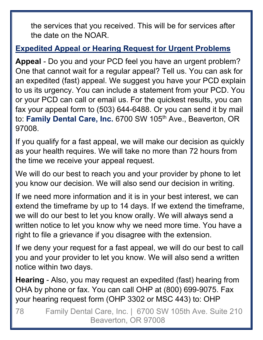the services that you received. This will be for services after the date on the NOAR.

#### **Expedited Appeal or Hearing Request for Urgent Problems**

**Appeal** - Do you and your PCD feel you have an urgent problem? One that cannot wait for a regular appeal? Tell us. You can ask for an expedited (fast) appeal. We suggest you have your PCD explain to us its urgency. You can include a statement from your PCD. You or your PCD can call or email us. For the quickest results, you can fax your appeal form to (503) 644-6488. Or you can send it by mail to: **Family Dental Care, Inc.** 6700 SW 105<sup>th</sup> Ave., Beaverton, OR 97008.

If you qualify for a fast appeal, we will make our decision as quickly as your health requires. We will take no more than 72 hours from the time we receive your appeal request.

We will do our best to reach you and your provider by phone to let you know our decision. We will also send our decision in writing.

If we need more information and it is in your best interest, we can extend the timeframe by up to 14 days. If we extend the timeframe, we will do our best to let you know orally. We will always send a written notice to let you know why we need more time. You have a right to file a grievance if you disagree with the extension.

If we deny your request for a fast appeal, we will do our best to call you and your provider to let you know. We will also send a written notice within two days.

**Hearing** - Also, you may request an expedited (fast) hearing from OHA by phone or fax. You can call OHP at (800) 699-9075. Fax your hearing request form (OHP 3302 or MSC 443) to: OHP

78 Family Dental Care, Inc. | 6700 SW 105th Ave. Suite 210 Beaverton, OR 97008